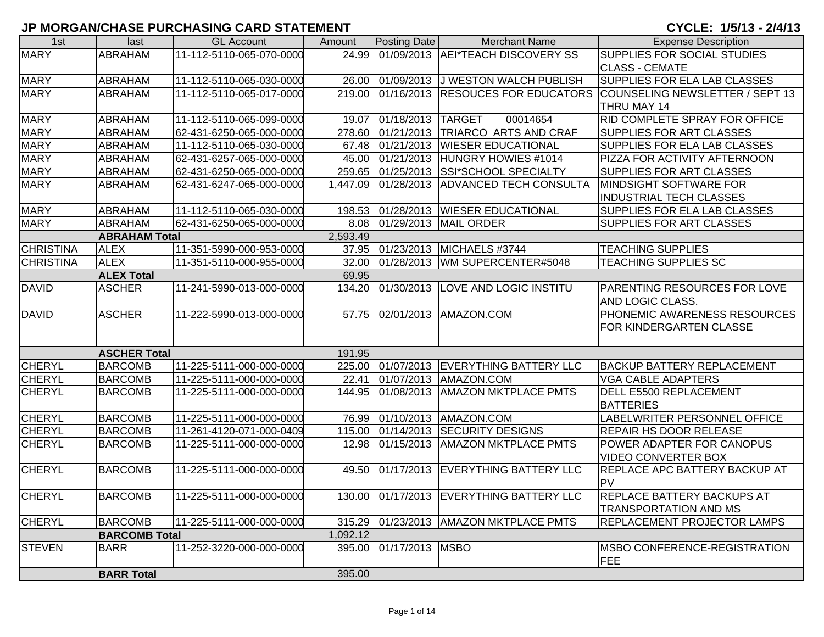## **JP MORGAN/CHASE PURCHASING CARD STATEMENT**

## CYCLE: 1/5/13 - 2/4/13

| 1st              | last                 | <b>GL Account</b>        | Amount   | <b>Posting Date</b> | <b>Merchant Name</b>                     | <b>Expense Description</b>           |
|------------------|----------------------|--------------------------|----------|---------------------|------------------------------------------|--------------------------------------|
| <b>MARY</b>      | <b>ABRAHAM</b>       | 11-112-5110-065-070-0000 | 24.99    |                     | 01/09/2013 AEI*TEACH DISCOVERY SS        | <b>SUPPLIES FOR SOCIAL STUDIES</b>   |
|                  |                      |                          |          |                     |                                          | <b>CLASS - CEMATE</b>                |
| <b>MARY</b>      | <b>ABRAHAM</b>       | 11-112-5110-065-030-0000 | 26.00    |                     | 01/09/2013 J WESTON WALCH PUBLISH        | SUPPLIES FOR ELA LAB CLASSES         |
| <b>MARY</b>      | <b>ABRAHAM</b>       | 11-112-5110-065-017-0000 | 219.00   |                     | 01/16/2013 RESOUCES FOR EDUCATORS        | COUNSELING NEWSLETTER / SEPT 13      |
|                  |                      |                          |          |                     |                                          | THRU MAY 14                          |
| <b>MARY</b>      | <b>ABRAHAM</b>       | 11-112-5110-065-099-0000 | 19.07    | 01/18/2013 TARGET   | 00014654                                 | <b>RID COMPLETE SPRAY FOR OFFICE</b> |
| <b>MARY</b>      | <b>ABRAHAM</b>       | 62-431-6250-065-000-0000 | 278.60   |                     | 01/21/2013 TRIARCO ARTS AND CRAF         | <b>SUPPLIES FOR ART CLASSES</b>      |
| <b>MARY</b>      | <b>ABRAHAM</b>       | 11-112-5110-065-030-0000 | 67.48    |                     | 01/21/2013 WIESER EDUCATIONAL            | <b>SUPPLIES FOR ELA LAB CLASSES</b>  |
| <b>MARY</b>      | ABRAHAM              | 62-431-6257-065-000-0000 | 45.00    |                     | 01/21/2013 HUNGRY HOWIES #1014           | PIZZA FOR ACTIVITY AFTERNOON         |
| <b>MARY</b>      | ABRAHAM              | 62-431-6250-065-000-0000 | 259.65   | 01/25/2013          | <b>SSI*SCHOOL SPECIALTY</b>              | <b>SUPPLIES FOR ART CLASSES</b>      |
| <b>MARY</b>      | ABRAHAM              | 62-431-6247-065-000-0000 | 1,447.09 | 01/28/2013          | <b>ADVANCED TECH CONSULTA</b>            | MINDSIGHT SOFTWARE FOR               |
|                  |                      |                          |          |                     |                                          | <b>INDUSTRIAL TECH CLASSES</b>       |
| <b>MARY</b>      | <b>ABRAHAM</b>       | 11-112-5110-065-030-0000 | 198.53   | 01/28/2013          | <b>WIESER EDUCATIONAL</b>                | <b>SUPPLIES FOR ELA LAB CLASSES</b>  |
| <b>MARY</b>      | <b>ABRAHAM</b>       | 62-431-6250-065-000-0000 |          |                     | 8.08 01/29/2013 MAIL ORDER               | <b>SUPPLIES FOR ART CLASSES</b>      |
|                  | <b>ABRAHAM Total</b> |                          | 2,593.49 |                     |                                          |                                      |
| <b>CHRISTINA</b> | <b>ALEX</b>          | 11-351-5990-000-953-0000 | 37.95    |                     | 01/23/2013 MICHAELS #3744                | <b>TEACHING SUPPLIES</b>             |
| <b>CHRISTINA</b> | <b>ALEX</b>          | 11-351-5110-000-955-0000 |          |                     | 32.00 01/28/2013 WM SUPERCENTER#5048     | <b>TEACHING SUPPLIES SC</b>          |
|                  | <b>ALEX Total</b>    |                          | 69.95    |                     |                                          |                                      |
| <b>DAVID</b>     | <b>ASCHER</b>        | 11-241-5990-013-000-0000 | 134.20   |                     | 01/30/2013 LOVE AND LOGIC INSTITU        | <b>PARENTING RESOURCES FOR LOVE</b>  |
|                  |                      |                          |          |                     |                                          | AND LOGIC CLASS.                     |
| <b>DAVID</b>     | <b>ASCHER</b>        | 11-222-5990-013-000-0000 | 57.75    |                     | 02/01/2013 AMAZON.COM                    | <b>PHONEMIC AWARENESS RESOURCES</b>  |
|                  |                      |                          |          |                     |                                          | FOR KINDERGARTEN CLASSE              |
|                  |                      |                          |          |                     |                                          |                                      |
|                  | <b>ASCHER Total</b>  |                          | 191.95   |                     |                                          |                                      |
| <b>CHERYL</b>    | <b>BARCOMB</b>       | 11-225-5111-000-000-0000 | 225.00   |                     | 01/07/2013 EVERYTHING BATTERY LLC        | <b>BACKUP BATTERY REPLACEMENT</b>    |
| <b>CHERYL</b>    | <b>BARCOMB</b>       | 11-225-5111-000-000-0000 | 22.41    |                     | 01/07/2013   AMAZON.COM                  | <b>VGA CABLE ADAPTERS</b>            |
| <b>CHERYL</b>    | <b>BARCOMB</b>       | 11-225-5111-000-000-0000 | 144.95   |                     | 01/08/2013   AMAZON MKTPLACE PMTS        | <b>DELL E5500 REPLACEMENT</b>        |
|                  |                      |                          |          |                     |                                          | <b>BATTERIES</b>                     |
| <b>CHERYL</b>    | <b>BARCOMB</b>       | 11-225-5111-000-000-0000 | 76.99    |                     | 01/10/2013 AMAZON.COM                    | LABELWRITER PERSONNEL OFFICE         |
| <b>CHERYL</b>    | <b>BARCOMB</b>       | 11-261-4120-071-000-0409 | 115.00   |                     | 01/14/2013 SECURITY DESIGNS              | <b>REPAIR HS DOOR RELEASE</b>        |
| <b>CHERYL</b>    | <b>BARCOMB</b>       | 11-225-5111-000-000-0000 | 12.98    |                     | 01/15/2013   AMAZON MKTPLACE PMTS        | POWER ADAPTER FOR CANOPUS            |
|                  |                      |                          |          |                     |                                          | <b>VIDEO CONVERTER BOX</b>           |
| <b>CHERYL</b>    | <b>BARCOMB</b>       | 11-225-5111-000-000-0000 | 49.50    |                     | 01/17/2013 EVERYTHING BATTERY LLC        | <b>REPLACE APC BATTERY BACKUP AT</b> |
|                  |                      |                          |          |                     |                                          | <b>PV</b>                            |
| <b>CHERYL</b>    | <b>BARCOMB</b>       | 11-225-5111-000-000-0000 |          |                     | 130.00 01/17/2013 EVERYTHING BATTERY LLC | <b>REPLACE BATTERY BACKUPS AT</b>    |
|                  |                      |                          |          |                     |                                          | <b>TRANSPORTATION AND MS</b>         |
| <b>CHERYL</b>    | <b>BARCOMB</b>       | 11-225-5111-000-000-0000 | 315.29   |                     | 01/23/2013   AMAZON MKTPLACE PMTS        | <b>REPLACEMENT PROJECTOR LAMPS</b>   |
|                  | <b>BARCOMB Total</b> |                          | 1,092.12 |                     |                                          |                                      |
| <b>STEVEN</b>    | <b>BARR</b>          | 11-252-3220-000-000-0000 | 395.00   | 01/17/2013 MSBO     |                                          | <b>IMSBO CONFERENCE-REGISTRATION</b> |
|                  |                      |                          |          |                     |                                          | FEE                                  |
|                  | <b>BARR Total</b>    |                          | 395.00   |                     |                                          |                                      |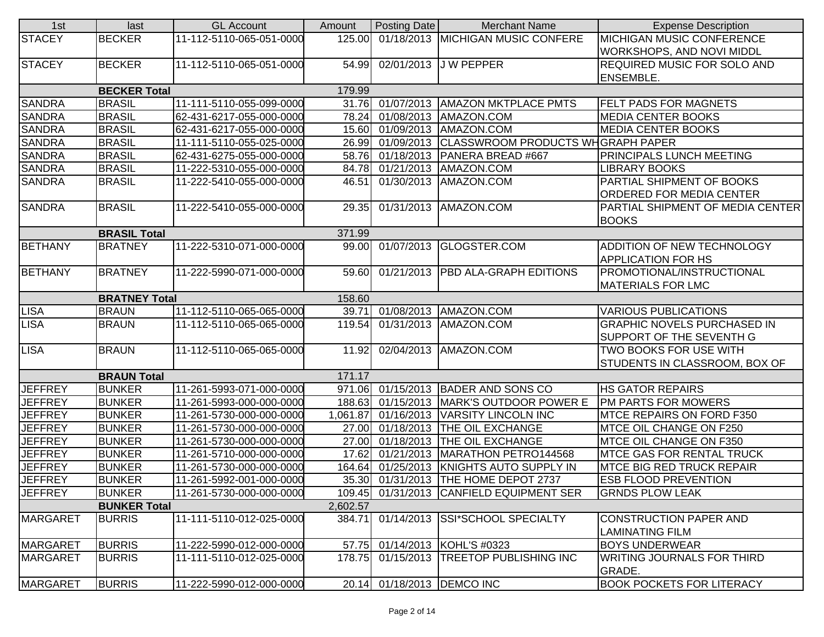| 1st             | last                 | <b>GL Account</b>        | Amount   | Posting Date            | <b>Merchant Name</b>                         | <b>Expense Description</b>         |
|-----------------|----------------------|--------------------------|----------|-------------------------|----------------------------------------------|------------------------------------|
| <b>STACEY</b>   | <b>BECKER</b>        | 11-112-5110-065-051-0000 | 125.00   |                         | 01/18/2013 MICHIGAN MUSIC CONFERE            | <b>MICHIGAN MUSIC CONFERENCE</b>   |
|                 |                      |                          |          |                         |                                              | WORKSHOPS, AND NOVI MIDDL          |
| <b>STACEY</b>   | <b>BECKER</b>        | 11-112-5110-065-051-0000 | 54.99    |                         | 02/01/2013 J W PEPPER                        | <b>REQUIRED MUSIC FOR SOLO AND</b> |
|                 |                      |                          |          |                         |                                              | <b>ENSEMBLE.</b>                   |
|                 | <b>BECKER Total</b>  |                          | 179.99   |                         |                                              |                                    |
| <b>SANDRA</b>   | <b>BRASIL</b>        | 11-111-5110-055-099-0000 |          |                         | 31.76 01/07/2013 AMAZON MKTPLACE PMTS        | <b>FELT PADS FOR MAGNETS</b>       |
| <b>SANDRA</b>   | <b>BRASIL</b>        | 62-431-6217-055-000-0000 | 78.24    |                         | 01/08/2013   AMAZON.COM                      | <b>MEDIA CENTER BOOKS</b>          |
| <b>SANDRA</b>   | <b>BRASIL</b>        | 62-431-6217-055-000-0000 | 15.60    |                         | 01/09/2013 AMAZON.COM                        | <b>MEDIA CENTER BOOKS</b>          |
| <b>SANDRA</b>   | <b>BRASIL</b>        | 11-111-5110-055-025-0000 | 26.99    |                         | 01/09/2013 CLASSWROOM PRODUCTS WHGRAPH PAPER |                                    |
| <b>SANDRA</b>   | <b>BRASIL</b>        | 62-431-6275-055-000-0000 | 58.76    | 01/18/2013              | PANERA BREAD #667                            | PRINCIPALS LUNCH MEETING           |
| <b>SANDRA</b>   | <b>BRASIL</b>        | 11-222-5310-055-000-0000 | 84.78    | 01/21/2013              | AMAZON.COM                                   | <b>LIBRARY BOOKS</b>               |
| <b>SANDRA</b>   | <b>BRASIL</b>        | 11-222-5410-055-000-0000 | 46.51    |                         | 01/30/2013   AMAZON.COM                      | PARTIAL SHIPMENT OF BOOKS          |
|                 |                      |                          |          |                         |                                              | ORDERED FOR MEDIA CENTER           |
| <b>SANDRA</b>   | <b>BRASIL</b>        | 11-222-5410-055-000-0000 | 29.35    |                         | 01/31/2013 AMAZON.COM                        | PARTIAL SHIPMENT OF MEDIA CENTER   |
|                 |                      |                          |          |                         |                                              | <b>BOOKS</b>                       |
|                 | <b>BRASIL Total</b>  |                          | 371.99   |                         |                                              |                                    |
| <b>BETHANY</b>  | <b>BRATNEY</b>       | 11-222-5310-071-000-0000 |          |                         | 99.00 01/07/2013 GLOGSTER.COM                | ADDITION OF NEW TECHNOLOGY         |
|                 |                      |                          |          |                         |                                              | <b>APPLICATION FOR HS</b>          |
| <b>BETHANY</b>  | <b>BRATNEY</b>       | 11-222-5990-071-000-0000 | 59.60    |                         | 01/21/2013 PBD ALA-GRAPH EDITIONS            | PROMOTIONAL/INSTRUCTIONAL          |
|                 |                      |                          |          |                         |                                              | <b>MATERIALS FOR LMC</b>           |
|                 | <b>BRATNEY Total</b> |                          | 158.60   |                         |                                              |                                    |
| <b>LISA</b>     | <b>BRAUN</b>         | 11-112-5110-065-065-0000 | 39.71    |                         | 01/08/2013 AMAZON.COM                        | <b>VARIOUS PUBLICATIONS</b>        |
| <b>LISA</b>     | <b>BRAUN</b>         | 11-112-5110-065-065-0000 | 119.54   |                         | 01/31/2013   AMAZON.COM                      | <b>GRAPHIC NOVELS PURCHASED IN</b> |
|                 |                      |                          |          |                         |                                              | SUPPORT OF THE SEVENTH G           |
| <b>LISA</b>     | <b>BRAUN</b>         | 11-112-5110-065-065-0000 | 11.92    |                         | 02/04/2013 AMAZON.COM                        | TWO BOOKS FOR USE WITH             |
|                 |                      |                          |          |                         |                                              | STUDENTS IN CLASSROOM, BOX OF      |
|                 | <b>BRAUN Total</b>   |                          | 171.17   |                         |                                              |                                    |
| <b>JEFFREY</b>  | <b>BUNKER</b>        | 11-261-5993-071-000-0000 |          |                         | 971.06 01/15/2013 BADER AND SONS CO          | <b>HS GATOR REPAIRS</b>            |
| <b>JEFFREY</b>  | <b>BUNKER</b>        | 11-261-5993-000-000-0000 | 188.63   | 01/15/2013              | MARK'S OUTDOOR POWER E                       | PM PARTS FOR MOWERS                |
| <b>JEFFREY</b>  | <b>BUNKER</b>        | 11-261-5730-000-000-0000 | 1,061.87 | 01/16/2013              | <b>VARSITY LINCOLN INC</b>                   | MTCE REPAIRS ON FORD F350          |
| <b>JEFFREY</b>  | <b>BUNKER</b>        | 11-261-5730-000-000-0000 | 27.00    |                         | 01/18/2013 THE OIL EXCHANGE                  | MTCE OIL CHANGE ON F250            |
| <b>JEFFREY</b>  | <b>BUNKER</b>        | 11-261-5730-000-000-0000 | 27.00    | 01/18/2013              | <b>THE OIL EXCHANGE</b>                      | MTCE OIL CHANGE ON F350            |
| <b>JEFFREY</b>  | <b>BUNKER</b>        | 11-261-5710-000-000-0000 | 17.62    | $\overline{01/21/2013}$ | MARATHON PETRO144568                         | <b>MTCE GAS FOR RENTAL TRUCK</b>   |
| <b>JEFFREY</b>  | <b>BUNKER</b>        | 11-261-5730-000-000-0000 | 164.64   | 01/25/2013              | KNIGHTS AUTO SUPPLY IN                       | <b>MTCE BIG RED TRUCK REPAIR</b>   |
| <b>JEFFREY</b>  | <b>BUNKER</b>        | 11-261-5992-001-000-0000 |          |                         | 35.30 01/31/2013 THE HOME DEPOT 2737         | <b>ESB FLOOD PREVENTION</b>        |
| <b>JEFFREY</b>  | <b>BUNKER</b>        | 11-261-5730-000-000-0000 |          |                         | 109.45 01/31/2013 CANFIELD EQUIPMENT SER     | <b>GRNDS PLOW LEAK</b>             |
|                 | <b>BUNKER Total</b>  |                          | 2,602.57 |                         |                                              |                                    |
| <b>MARGARET</b> | <b>BURRIS</b>        | 11-111-5110-012-025-0000 | 384.71   |                         | 01/14/2013 SSI*SCHOOL SPECIALTY              | <b>CONSTRUCTION PAPER AND</b>      |
|                 |                      |                          |          |                         |                                              | <b>LAMINATING FILM</b>             |
| MARGARET        | <b>BURRIS</b>        | 11-222-5990-012-000-0000 | 57.75    |                         | 01/14/2013 KOHL'S #0323                      | <b>BOYS UNDERWEAR</b>              |
| <b>MARGARET</b> | <b>BURRIS</b>        | 11-111-5110-012-025-0000 | 178.75   |                         | 01/15/2013 TREETOP PUBLISHING INC            | <b>WRITING JOURNALS FOR THIRD</b>  |
|                 |                      |                          |          |                         |                                              | GRADE.                             |
| MARGARET        | <b>BURRIS</b>        | 11-222-5990-012-000-0000 | 20.14    |                         | 01/18/2013   DEMCO INC                       | <b>BOOK POCKETS FOR LITERACY</b>   |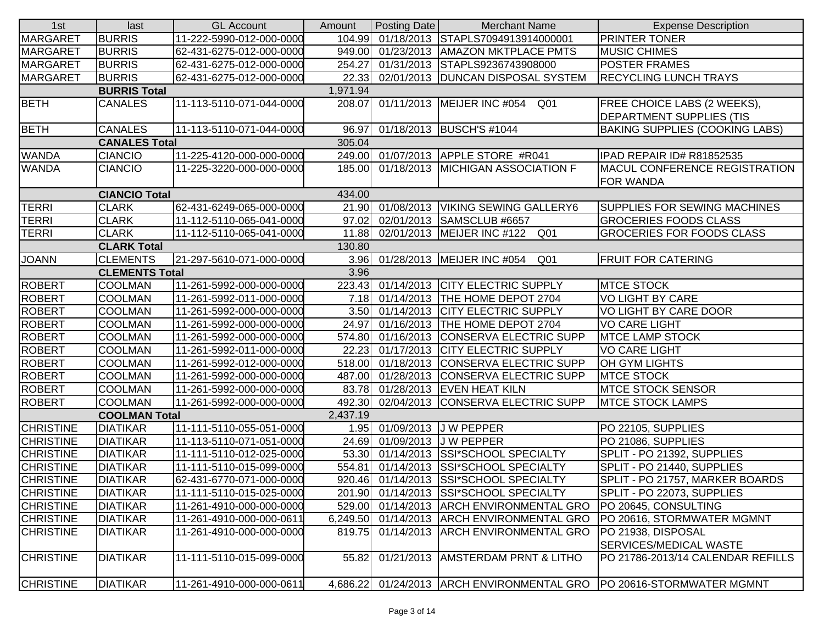| 1st              | last                  | <b>GL Account</b>        | Amount   | Posting Date | <b>Merchant Name</b>                                 | <b>Expense Description</b>            |
|------------------|-----------------------|--------------------------|----------|--------------|------------------------------------------------------|---------------------------------------|
| <b>MARGARET</b>  | <b>BURRIS</b>         | 11-222-5990-012-000-0000 |          |              | 104.99 01/18/2013 STAPLS7094913914000001             | <b>PRINTER TONER</b>                  |
| <b>MARGARET</b>  | <b>BURRIS</b>         | 62-431-6275-012-000-0000 | 949.00   |              | 01/23/2013 AMAZON MKTPLACE PMTS                      | <b>MUSIC CHIMES</b>                   |
| <b>MARGARET</b>  | <b>BURRIS</b>         | 62-431-6275-012-000-0000 | 254.27   |              | 01/31/2013 STAPLS9236743908000                       | <b>POSTER FRAMES</b>                  |
| <b>MARGARET</b>  | <b>BURRIS</b>         | 62-431-6275-012-000-0000 | 22.33    |              | 02/01/2013  DUNCAN DISPOSAL SYSTEM                   | <b>RECYCLING LUNCH TRAYS</b>          |
|                  | <b>BURRIS Total</b>   |                          | 1,971.94 |              |                                                      |                                       |
| <b>BETH</b>      | <b>CANALES</b>        | 11-113-5110-071-044-0000 |          |              | 208.07 01/11/2013 MEIJER INC #054<br>Q <sub>01</sub> | <b>FREE CHOICE LABS (2 WEEKS),</b>    |
|                  |                       |                          |          |              |                                                      | <b>DEPARTMENT SUPPLIES (TIS</b>       |
| <b>BETH</b>      | CANALES               | 11-113-5110-071-044-0000 | 96.97    |              | 01/18/2013 BUSCH'S #1044                             | <b>BAKING SUPPLIES (COOKING LABS)</b> |
|                  | <b>CANALES Total</b>  |                          | 305.04   |              |                                                      |                                       |
| <b>WANDA</b>     | <b>CIANCIO</b>        | 11-225-4120-000-000-0000 |          |              | 249.00 01/07/2013 APPLE STORE #R041                  | IPAD REPAIR ID# R81852535             |
| <b>WANDA</b>     | <b>CIANCIO</b>        | 11-225-3220-000-000-0000 | 185.00   |              | 01/18/2013 MICHIGAN ASSOCIATION F                    | <b>MACUL CONFERENCE REGISTRATION</b>  |
|                  |                       |                          |          |              |                                                      | <b>FOR WANDA</b>                      |
|                  | <b>CIANCIO Total</b>  |                          | 434.00   |              |                                                      |                                       |
| <b>TERRI</b>     | <b>CLARK</b>          | 62-431-6249-065-000-0000 |          |              | 21.90 01/08/2013 VIKING SEWING GALLERY6              | <b>SUPPLIES FOR SEWING MACHINES</b>   |
| <b>TERRI</b>     | <b>CLARK</b>          | 11-112-5110-065-041-0000 | 97.02    |              | 02/01/2013 SAMSCLUB #6657                            | <b>GROCERIES FOODS CLASS</b>          |
| <b>TERRI</b>     | <b>CLARK</b>          | 11-112-5110-065-041-0000 | 11.88    |              | 02/01/2013 MEIJER INC #122 Q01                       | <b>GROCERIES FOR FOODS CLASS</b>      |
|                  | <b>CLARK Total</b>    |                          | 130.80   |              |                                                      |                                       |
| <b>JOANN</b>     | <b>CLEMENTS</b>       | 21-297-5610-071-000-0000 |          |              | 3.96 01/28/2013 MEIJER INC #054<br>Q <sub>01</sub>   | <b>FRUIT FOR CATERING</b>             |
|                  | <b>CLEMENTS Total</b> |                          | 3.96     |              |                                                      |                                       |
| <b>ROBERT</b>    | <b>COOLMAN</b>        | 11-261-5992-000-000-0000 |          |              | 223.43 01/14/2013 CITY ELECTRIC SUPPLY               | <b>MTCE STOCK</b>                     |
| <b>ROBERT</b>    | <b>COOLMAN</b>        | 11-261-5992-011-000-0000 |          |              | 7.18 01/14/2013 THE HOME DEPOT 2704                  | <b>VO LIGHT BY CARE</b>               |
| <b>ROBERT</b>    | <b>COOLMAN</b>        | 11-261-5992-000-000-0000 |          |              | 3.50 01/14/2013 CITY ELECTRIC SUPPLY                 | VO LIGHT BY CARE DOOR                 |
| <b>ROBERT</b>    | <b>COOLMAN</b>        | 11-261-5992-000-000-0000 | 24.97    |              | 01/16/2013 THE HOME DEPOT 2704                       | <b>VO CARE LIGHT</b>                  |
| ROBERT           | <b>COOLMAN</b>        | 11-261-5992-000-000-0000 |          |              | 574.80 01/16/2013 CONSERVA ELECTRIC SUPP             | <b>MTCE LAMP STOCK</b>                |
| <b>ROBERT</b>    | <b>COOLMAN</b>        | 11-261-5992-011-000-0000 | 22.23    |              | 01/17/2013 CITY ELECTRIC SUPPLY                      | <b>VO CARE LIGHT</b>                  |
| ROBERT           | <b>COOLMAN</b>        | 11-261-5992-012-000-0000 | 518.00   |              | 01/18/2013 CONSERVA ELECTRIC SUPP                    | OH GYM LIGHTS                         |
| <b>ROBERT</b>    | <b>COOLMAN</b>        | 11-261-5992-000-000-0000 | 487.00   |              | 01/28/2013 CONSERVA ELECTRIC SUPP                    | <b>MTCE STOCK</b>                     |
| <b>ROBERT</b>    | <b>COOLMAN</b>        | 11-261-5992-000-000-0000 | 83.78    |              | 01/28/2013 EVEN HEAT KILN                            | <b>MTCE STOCK SENSOR</b>              |
| <b>ROBERT</b>    | <b>COOLMAN</b>        | 11-261-5992-000-000-0000 |          |              | 492.30 02/04/2013 CONSERVA ELECTRIC SUPP             | <b>MTCE STOCK LAMPS</b>               |
|                  | <b>COOLMAN Total</b>  |                          | 2,437.19 |              |                                                      |                                       |
| <b>CHRISTINE</b> | <b>DIATIKAR</b>       | 11-111-5110-055-051-0000 |          |              | 1.95 01/09/2013 J W PEPPER                           | PO 22105, SUPPLIES                    |
| <b>CHRISTINE</b> | <b>DIATIKAR</b>       | 11-113-5110-071-051-0000 | 24.69    |              | 01/09/2013 J W PEPPER                                | PO 21086, SUPPLIES                    |
| <b>CHRISTINE</b> | <b>DIATIKAR</b>       | 11-111-5110-012-025-0000 | 53.30    |              | 01/14/2013 SSI*SCHOOL SPECIALTY                      | SPLIT - PO 21392, SUPPLIES            |
| <b>CHRISTINE</b> | <b>DIATIKAR</b>       | 11-111-5110-015-099-0000 | 554.81   |              | 01/14/2013 SSI*SCHOOL SPECIALTY                      | SPLIT - PO 21440, SUPPLIES            |
| <b>CHRISTINE</b> | <b>DIATIKAR</b>       | 62-431-6770-071-000-0000 | 920.46   |              | 01/14/2013 SSI*SCHOOL SPECIALTY                      | SPLIT - PO 21757, MARKER BOARDS       |
| <b>CHRISTINE</b> | <b>DIATIKAR</b>       | 11-111-5110-015-025-0000 |          |              | 201.90 01/14/2013 SSI*SCHOOL SPECIALTY               | SPLIT - PO 22073, SUPPLIES            |
| <b>CHRISTINE</b> | <b>DIATIKAR</b>       | 11-261-4910-000-000-0000 |          |              | 529.00 01/14/2013 ARCH ENVIRONMENTAL GRO             | PO 20645, CONSULTING                  |
| <b>CHRISTINE</b> | <b>DIATIKAR</b>       | 11-261-4910-000-000-0611 |          |              | 6,249.50 01/14/2013 ARCH ENVIRONMENTAL GRO           | PO 20616, STORMWATER MGMNT            |
| <b>CHRISTINE</b> | <b>DIATIKAR</b>       | 11-261-4910-000-000-0000 | 819.75   |              | 01/14/2013 ARCH ENVIRONMENTAL GRO                    | PO 21938, DISPOSAL                    |
|                  |                       |                          |          |              |                                                      | SERVICES/MEDICAL WASTE                |
| <b>CHRISTINE</b> | <b>DIATIKAR</b>       | 11-111-5110-015-099-0000 | 55.82    |              | 01/21/2013 AMSTERDAM PRNT & LITHO                    | PO 21786-2013/14 CALENDAR REFILLS     |
|                  |                       |                          |          |              |                                                      |                                       |
| <b>CHRISTINE</b> | <b>DIATIKAR</b>       | 11-261-4910-000-000-0611 | 4,686.22 |              | 01/24/2013 ARCH ENVIRONMENTAL GRO                    | <b>PO 20616-STORMWATER MGMNT</b>      |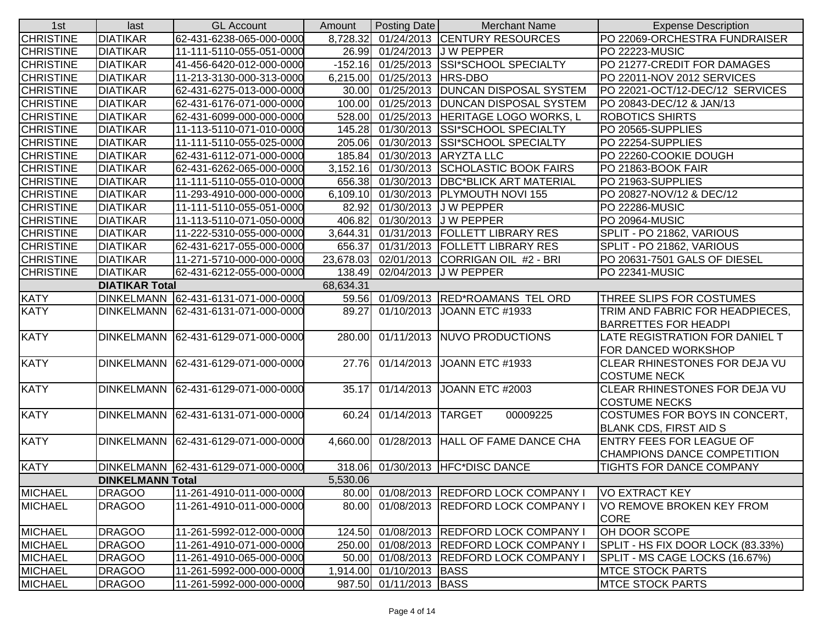| 1st                                | last                    | <b>GL Account</b>                   | Amount   | <b>Posting Date</b>      | <b>Merchant Name</b>                       | <b>Expense Description</b>        |  |
|------------------------------------|-------------------------|-------------------------------------|----------|--------------------------|--------------------------------------------|-----------------------------------|--|
| <b>CHRISTINE</b>                   | <b>DIATIKAR</b>         | 62-431-6238-065-000-0000            | 8,728.32 |                          | 01/24/2013 CENTURY RESOURCES               | PO 22069-ORCHESTRA FUNDRAISER     |  |
| <b>CHRISTINE</b>                   | <b>DIATIKAR</b>         | 11-111-5110-055-051-0000            | 26.99    | 01/24/2013               | J W PEPPER                                 | PO 22223-MUSIC                    |  |
| <b>CHRISTINE</b>                   | <b>DIATIKAR</b>         | 41-456-6420-012-000-0000            |          |                          | -152.16 01/25/2013 SSI*SCHOOL SPECIALTY    | PO 21277-CREDIT FOR DAMAGES       |  |
| <b>CHRISTINE</b>                   | <b>DIATIKAR</b>         | 11-213-3130-000-313-0000            | 6,215.00 | 01/25/2013               | <b>HRS-DBO</b>                             | PO 22011-NOV 2012 SERVICES        |  |
| <b>CHRISTINE</b>                   | <b>DIATIKAR</b>         | 62-431-6275-013-000-0000            | 30.00    |                          | 01/25/2013  DUNCAN DISPOSAL SYSTEM         | PO 22021-OCT/12-DEC/12 SERVICES   |  |
| <b>CHRISTINE</b>                   | <b>DIATIKAR</b>         | 62-431-6176-071-000-0000            |          |                          | 100.00 01/25/2013 DUNCAN DISPOSAL SYSTEM   | PO 20843-DEC/12 & JAN/13          |  |
| <b>CHRISTINE</b>                   | <b>DIATIKAR</b>         | 62-431-6099-000-000-0000            | 528.00   |                          | 01/25/2013 HERITAGE LOGO WORKS, L          | <b>ROBOTICS SHIRTS</b>            |  |
| <b>CHRISTINE</b>                   | <b>DIATIKAR</b>         | 11-113-5110-071-010-0000            | 145.28   |                          | 01/30/2013 SSI*SCHOOL SPECIALTY            | PO 20565-SUPPLIES                 |  |
| <b>CHRISTINE</b>                   | <b>DIATIKAR</b>         | 11-111-5110-055-025-0000            | 205.06   |                          | 01/30/2013 SSI*SCHOOL SPECIALTY            | PO 22254-SUPPLIES                 |  |
| <b>CHRISTINE</b>                   | <b>DIATIKAR</b>         | 62-431-6112-071-000-0000            | 185.84   | 01/30/2013               | <b>ARYZTA LLC</b>                          | PO 22260-COOKIE DOUGH             |  |
| <b>CHRISTINE</b>                   | <b>DIATIKAR</b>         | 62-431-6262-065-000-0000            | 3,152.16 | 01/30/2013               | <b>SCHOLASTIC BOOK FAIRS</b>               | PO 21863-BOOK FAIR                |  |
| <b>CHRISTINE</b>                   | <b>DIATIKAR</b>         | 11-111-5110-055-010-0000            | 656.38   |                          | 01/30/2013   DBC*BLICK ART MATERIAL        | PO 21963-SUPPLIES                 |  |
| <b>CHRISTINE</b>                   | <b>DIATIKAR</b>         | 11-293-4910-000-000-0000            | 6,109.10 | 01/30/2013               | <b>PLYMOUTH NOVI 155</b>                   | PO 20827-NOV/12 & DEC/12          |  |
| <b>CHRISTINE</b>                   | <b>DIATIKAR</b>         | 11-111-5110-055-051-0000            | 82.92    | 01/30/2013               | J W PEPPER                                 | <b>PO 22286-MUSIC</b>             |  |
| <b>CHRISTINE</b>                   | <b>DIATIKAR</b>         | 11-113-5110-071-050-0000            | 406.82   | 01/30/2013               | <b>JW PEPPER</b>                           | <b>PO 20964-MUSIC</b>             |  |
| <b>CHRISTINE</b>                   | <b>DIATIKAR</b>         | 11-222-5310-055-000-0000            | 3,644.31 | 01/31/2013               | <b>FOLLETT LIBRARY RES</b>                 | SPLIT - PO 21862, VARIOUS         |  |
| <b>CHRISTINE</b>                   | <b>DIATIKAR</b>         | 62-431-6217-055-000-0000            | 656.37   | 01/31/2013               | <b>FOLLETT LIBRARY RES</b>                 | SPLIT - PO 21862, VARIOUS         |  |
| <b>CHRISTINE</b>                   | <b>DIATIKAR</b>         | 11-271-5710-000-000-0000            |          |                          | 23,678.03 02/01/2013 CORRIGAN OIL #2 - BRI | PO 20631-7501 GALS OF DIESEL      |  |
| <b>CHRISTINE</b>                   | <b>DIATIKAR</b>         | 62-431-6212-055-000-0000            | 138.49   |                          | 02/04/2013 J W PEPPER                      | <b>PO 22341-MUSIC</b>             |  |
| 68,634.31<br><b>DIATIKAR Total</b> |                         |                                     |          |                          |                                            |                                   |  |
| <b>KATY</b>                        | <b>DINKELMANN</b>       | 62-431-6131-071-000-0000            |          |                          | 59.56 01/09/2013 RED*ROAMANS TEL ORD       | THREE SLIPS FOR COSTUMES          |  |
| <b>KATY</b>                        | <b>DINKELMANN</b>       | 62-431-6131-071-000-0000            | 89.27    |                          | 01/10/2013 JOANN ETC #1933                 | TRIM AND FABRIC FOR HEADPIECES,   |  |
|                                    |                         |                                     |          |                          |                                            | <b>BARRETTES FOR HEADPI</b>       |  |
| <b>KATY</b>                        | <b>DINKELMANN</b>       | 62-431-6129-071-000-0000            | 280.00   |                          | 01/11/2013 NUVO PRODUCTIONS                | LATE REGISTRATION FOR DANIEL T    |  |
|                                    |                         |                                     |          |                          |                                            | FOR DANCED WORKSHOP               |  |
| <b>KATY</b>                        | <b>DINKELMANN</b>       | 62-431-6129-071-000-0000            | 27.76    | 01/14/2013               | JOANN ETC #1933                            | CLEAR RHINESTONES FOR DEJA VU     |  |
|                                    |                         |                                     |          |                          |                                            | <b>COSTUME NECK</b>               |  |
| <b>KATY</b>                        | <b>DINKELMANN</b>       | 62-431-6129-071-000-0000            | 35.17    | 01/14/2013               | JOANN ETC #2003                            | CLEAR RHINESTONES FOR DEJA VU     |  |
|                                    |                         |                                     |          |                          |                                            | <b>COSTUME NECKS</b>              |  |
| <b>KATY</b>                        |                         | DINKELMANN 62-431-6131-071-000-0000 | 60.24    | 01/14/2013 TARGET        | 00009225                                   | COSTUMES FOR BOYS IN CONCERT,     |  |
|                                    |                         |                                     |          |                          |                                            | <b>BLANK CDS, FIRST AID S</b>     |  |
| <b>KATY</b>                        |                         | DINKELMANN 62-431-6129-071-000-0000 | 4,660.00 |                          | 01/28/2013 HALL OF FAME DANCE CHA          | <b>ENTRY FEES FOR LEAGUE OF</b>   |  |
|                                    |                         |                                     |          |                          |                                            | CHAMPIONS DANCE COMPETITION       |  |
| <b>KATY</b>                        |                         | DINKELMANN 62-431-6129-071-000-0000 |          |                          | 318.06 01/30/2013 HFC*DISC DANCE           | <b>TIGHTS FOR DANCE COMPANY</b>   |  |
|                                    | <b>DINKELMANN Total</b> |                                     | 5,530.06 |                          |                                            |                                   |  |
| <b>MICHAEL</b>                     | <b>DRAGOO</b>           | 11-261-4910-011-000-0000            |          |                          | 80.00 01/08/2013 REDFORD LOCK COMPANY      | VO EXTRACT KEY                    |  |
| <b>MICHAEL</b>                     | <b>DRAGOO</b>           | 11-261-4910-011-000-0000            | 80.00    |                          | 01/08/2013 REDFORD LOCK COMPANY I          | VO REMOVE BROKEN KEY FROM         |  |
|                                    |                         |                                     |          |                          |                                            | <b>CORE</b>                       |  |
| <b>MICHAEL</b>                     | <b>DRAGOO</b>           | 11-261-5992-012-000-0000            | 124.50   |                          | 01/08/2013 REDFORD LOCK COMPANY I          | OH DOOR SCOPE                     |  |
| <b>MICHAEL</b>                     | <b>DRAGOO</b>           | 11-261-4910-071-000-0000            |          |                          | 250.00 01/08/2013 REDFORD LOCK COMPANY I   | SPLIT - HS FIX DOOR LOCK (83.33%) |  |
| <b>MICHAEL</b>                     | <b>DRAGOO</b>           | 11-261-4910-065-000-0000            |          |                          | 50.00 01/08/2013 REDFORD LOCK COMPANY I    | SPLIT - MS CAGE LOCKS (16.67%)    |  |
| <b>MICHAEL</b>                     | <b>DRAGOO</b>           | 11-261-5992-000-000-0000            |          | 1,914.00 01/10/2013 BASS |                                            | <b>MTCE STOCK PARTS</b>           |  |
| <b>MICHAEL</b>                     | <b>DRAGOO</b>           | 11-261-5992-000-000-0000            |          | 987.50 01/11/2013 BASS   |                                            | <b>MTCE STOCK PARTS</b>           |  |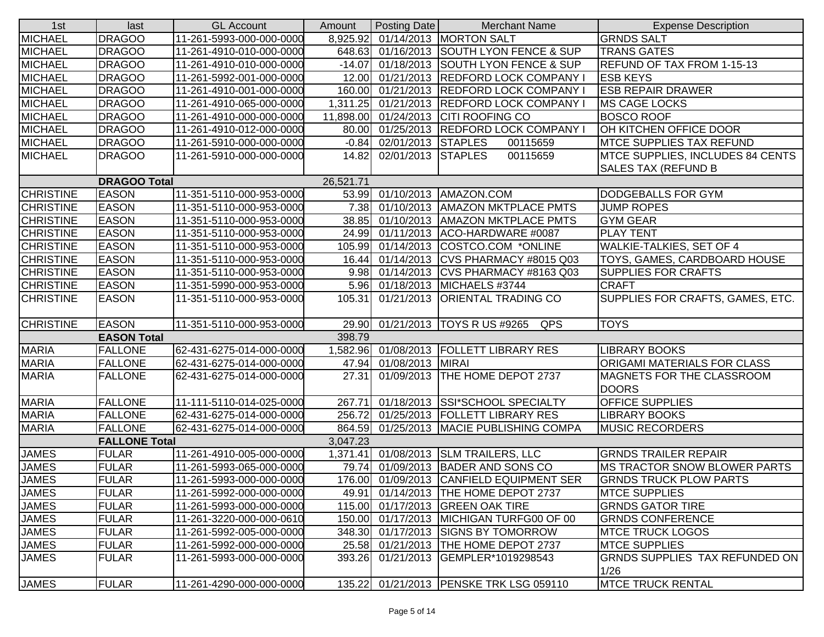| 1st              | last                 | <b>GL Account</b>        | Amount    | Posting Date       | <b>Merchant Name</b>                     | <b>Expense Description</b>                                     |
|------------------|----------------------|--------------------------|-----------|--------------------|------------------------------------------|----------------------------------------------------------------|
| <b>MICHAEL</b>   | <b>DRAGOO</b>        | 11-261-5993-000-000-0000 | 8,925.92  |                    | 01/14/2013 MORTON SALT                   | <b>GRNDS SALT</b>                                              |
| <b>MICHAEL</b>   | <b>DRAGOO</b>        | 11-261-4910-010-000-0000 | 648.63    |                    | 01/16/2013 SOUTH LYON FENCE & SUP        | <b>TRANS GATES</b>                                             |
| <b>MICHAEL</b>   | <b>DRAGOO</b>        | 11-261-4910-010-000-0000 | $-14.07$  |                    | 01/18/2013 SOUTH LYON FENCE & SUP        | <b>REFUND OF TAX FROM 1-15-13</b>                              |
| <b>MICHAEL</b>   | <b>DRAGOO</b>        | 11-261-5992-001-000-0000 | 12.00     |                    | 01/21/2013 REDFORD LOCK COMPANY I        | <b>ESB KEYS</b>                                                |
| <b>MICHAEL</b>   | <b>DRAGOO</b>        | 11-261-4910-001-000-0000 |           |                    | 160.00 01/21/2013 REDFORD LOCK COMPANY I | <b>ESB REPAIR DRAWER</b>                                       |
| <b>MICHAEL</b>   | <b>DRAGOO</b>        | 11-261-4910-065-000-0000 | 1,311.25  |                    | 01/21/2013 REDFORD LOCK COMPANY I        | <b>MS CAGE LOCKS</b>                                           |
| <b>MICHAEL</b>   | <b>DRAGOO</b>        | 11-261-4910-000-000-0000 | 11,898.00 |                    | 01/24/2013 CITI ROOFING CO               | <b>BOSCO ROOF</b>                                              |
| <b>MICHAEL</b>   | <b>DRAGOO</b>        | 11-261-4910-012-000-0000 | 80.00     |                    | 01/25/2013 REDFORD LOCK COMPANY I        | OH KITCHEN OFFICE DOOR                                         |
| <b>MICHAEL</b>   | <b>DRAGOO</b>        | 11-261-5910-000-000-0000 | $-0.84$   | 02/01/2013 STAPLES | 00115659                                 | <b>MTCE SUPPLIES TAX REFUND</b>                                |
| <b>MICHAEL</b>   | <b>DRAGOO</b>        | 11-261-5910-000-000-0000 | 14.82     | 02/01/2013 STAPLES | 00115659                                 | MTCE SUPPLIES, INCLUDES 84 CENTS<br><b>SALES TAX (REFUND B</b> |
|                  | <b>DRAGOO Total</b>  |                          | 26,521.71 |                    |                                          |                                                                |
| <b>CHRISTINE</b> | <b>EASON</b>         | 11-351-5110-000-953-0000 |           |                    | 53.99 01/10/2013 AMAZON.COM              | <b>DODGEBALLS FOR GYM</b>                                      |
| <b>CHRISTINE</b> | <b>EASON</b>         | 11-351-5110-000-953-0000 | 7.38      |                    | 01/10/2013 AMAZON MKTPLACE PMTS          | <b>JUMP ROPES</b>                                              |
| <b>CHRISTINE</b> | <b>EASON</b>         | 11-351-5110-000-953-0000 | 38.85     |                    | 01/10/2013   AMAZON MKTPLACE PMTS        | <b>GYM GEAR</b>                                                |
| <b>CHRISTINE</b> | <b>EASON</b>         | 11-351-5110-000-953-0000 | 24.99     |                    | 01/11/2013 ACO-HARDWARE #0087            | <b>PLAY TENT</b>                                               |
| <b>CHRISTINE</b> | <b>EASON</b>         | 11-351-5110-000-953-0000 | 105.99    |                    | 01/14/2013 COSTCO.COM *ONLINE            | <b>WALKIE-TALKIES, SET OF 4</b>                                |
| <b>CHRISTINE</b> | <b>EASON</b>         | 11-351-5110-000-953-0000 | 16.44     |                    | 01/14/2013 CVS PHARMACY #8015 Q03        | TOYS, GAMES, CARDBOARD HOUSE                                   |
| <b>CHRISTINE</b> | <b>EASON</b>         | 11-351-5110-000-953-0000 | 9.98      |                    | 01/14/2013 CVS PHARMACY #8163 Q03        | <b>SUPPLIES FOR CRAFTS</b>                                     |
| <b>CHRISTINE</b> | <b>EASON</b>         | 11-351-5990-000-953-0000 | 5.96      |                    | 01/18/2013 MICHAELS #3744                | <b>CRAFT</b>                                                   |
| <b>CHRISTINE</b> | <b>EASON</b>         | 11-351-5110-000-953-0000 | 105.31    |                    | 01/21/2013 ORIENTAL TRADING CO           | SUPPLIES FOR CRAFTS, GAMES, ETC.                               |
| <b>CHRISTINE</b> | <b>EASON</b>         | 11-351-5110-000-953-0000 | 29.90     |                    | 01/21/2013   TOYS R US #9265<br>QPS      | <b>TOYS</b>                                                    |
|                  | <b>EASON Total</b>   |                          | 398.79    |                    |                                          |                                                                |
| <b>MARIA</b>     | <b>FALLONE</b>       | 62-431-6275-014-000-0000 |           |                    | 1,582.96 01/08/2013 FOLLETT LIBRARY RES  | <b>LIBRARY BOOKS</b>                                           |
| <b>MARIA</b>     | <b>FALLONE</b>       | 62-431-6275-014-000-0000 | 47.94     | 01/08/2013 MIRAI   |                                          | <b>ORIGAMI MATERIALS FOR CLASS</b>                             |
| <b>MARIA</b>     | <b>FALLONE</b>       | 62-431-6275-014-000-0000 | 27.31     |                    | 01/09/2013  THE HOME DEPOT 2737          | <b>MAGNETS FOR THE CLASSROOM</b><br><b>DOORS</b>               |
| <b>MARIA</b>     | <b>FALLONE</b>       | 11-111-5110-014-025-0000 | 267.71    |                    | 01/18/2013 SSI*SCHOOL SPECIALTY          | <b>OFFICE SUPPLIES</b>                                         |
| <b>MARIA</b>     | <b>FALLONE</b>       | 62-431-6275-014-000-0000 | 256.72    |                    | 01/25/2013   FOLLETT LIBRARY RES         | <b>LIBRARY BOOKS</b>                                           |
| <b>MARIA</b>     | <b>FALLONE</b>       | 62-431-6275-014-000-0000 |           |                    | 864.59 01/25/2013 MACIE PUBLISHING COMPA | <b>MUSIC RECORDERS</b>                                         |
|                  | <b>FALLONE Total</b> |                          | 3,047.23  |                    |                                          |                                                                |
| <b>JAMES</b>     | <b>FULAR</b>         | 11-261-4910-005-000-0000 | 1,371.41  |                    | 01/08/2013 SLM TRAILERS, LLC             | <b>GRNDS TRAILER REPAIR</b>                                    |
| <b>JAMES</b>     | <b>FULAR</b>         | 11-261-5993-065-000-0000 | 79.74     |                    | 01/09/2013 BADER AND SONS CO             | <b>IMS TRACTOR SNOW BLOWER PARTS</b>                           |
| <b>JAMES</b>     | <b>FULAR</b>         | 11-261-5993-000-000-0000 |           |                    | 176.00 01/09/2013 CANFIELD EQUIPMENT SER | <b>IGRNDS TRUCK PLOW PARTS</b>                                 |
| <b>JAMES</b>     | <b>FULAR</b>         | 11-261-5992-000-000-0000 |           |                    | 49.91 01/14/2013 THE HOME DEPOT 2737     | <b>MTCE SUPPLIES</b>                                           |
| <b>JAMES</b>     | <b>FULAR</b>         | 11-261-5993-000-000-0000 |           |                    | 115.00 01/17/2013 GREEN OAK TIRE         | <b>GRNDS GATOR TIRE</b>                                        |
| <b>JAMES</b>     | <b>FULAR</b>         | 11-261-3220-000-000-0610 |           |                    | 150.00 01/17/2013 MICHIGAN TURFG00 OF 00 | <b>GRNDS CONFERENCE</b>                                        |
| <b>JAMES</b>     | <b>FULAR</b>         | 11-261-5992-005-000-0000 | 348.30    |                    | 01/17/2013 SIGNS BY TOMORROW             | <b>IMTCE TRUCK LOGOS</b>                                       |
| <b>JAMES</b>     | <b>FULAR</b>         | 11-261-5992-000-000-0000 |           |                    | 25.58 01/21/2013 THE HOME DEPOT 2737     | <b>MTCE SUPPLIES</b>                                           |
| <b>JAMES</b>     | <b>FULAR</b>         | 11-261-5993-000-000-0000 | 393.26    |                    | 01/21/2013 GEMPLER*1019298543            | <b>GRNDS SUPPLIES TAX REFUNDED ON</b><br>1/26                  |
| <b>JAMES</b>     | FULAR                | 11-261-4290-000-000-0000 | 135.22    |                    | 01/21/2013 PENSKE TRK LSG 059110         | <b>MTCE TRUCK RENTAL</b>                                       |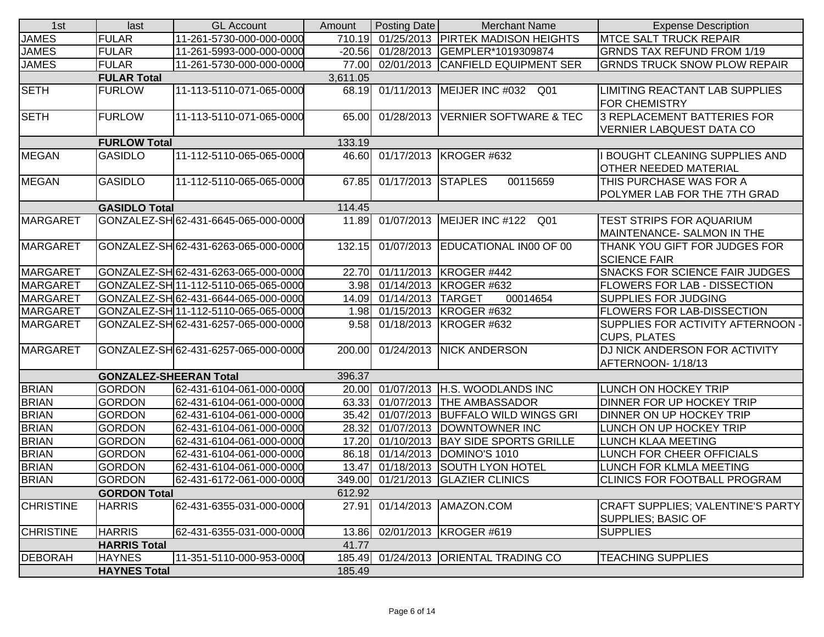| 1st              | last                          | <b>GL Account</b>                    | Amount   | <b>Posting Date</b> | <b>Merchant Name</b>                  | <b>Expense Description</b>            |
|------------------|-------------------------------|--------------------------------------|----------|---------------------|---------------------------------------|---------------------------------------|
| <b>JAMES</b>     | <b>FULAR</b>                  | 11-261-5730-000-000-0000             | 710.19   |                     | 01/25/2013   PIRTEK MADISON HEIGHTS   | <b>MTCE SALT TRUCK REPAIR</b>         |
| <b>JAMES</b>     | <b>FULAR</b>                  | 11-261-5993-000-000-0000             | $-20.56$ |                     | 01/28/2013 GEMPLER*1019309874         | <b>GRNDS TAX REFUND FROM 1/19</b>     |
| <b>JAMES</b>     | <b>FULAR</b>                  | 11-261-5730-000-000-0000             | 77.00    |                     | 02/01/2013 CANFIELD EQUIPMENT SER     | <b>GRNDS TRUCK SNOW PLOW REPAIR</b>   |
|                  | <b>FULAR Total</b>            |                                      | 3,611.05 |                     |                                       |                                       |
| <b>SETH</b>      | <b>FURLOW</b>                 | 11-113-5110-071-065-0000             |          |                     | 68.19 01/11/2013 MEIJER INC #032 Q01  | LIMITING REACTANT LAB SUPPLIES        |
|                  |                               |                                      |          |                     |                                       | <b>FOR CHEMISTRY</b>                  |
| <b>SETH</b>      | <b>FURLOW</b>                 | 11-113-5110-071-065-0000             | 65.00    |                     | 01/28/2013 VERNIER SOFTWARE & TEC     | 3 REPLACEMENT BATTERIES FOR           |
|                  |                               |                                      |          |                     |                                       | <b>VERNIER LABQUEST DATA CO</b>       |
|                  | <b>FURLOW Total</b>           |                                      | 133.19   |                     |                                       |                                       |
| <b>MEGAN</b>     | <b>GASIDLO</b>                | 11-112-5110-065-065-0000             |          |                     | 46.60 01/17/2013 KROGER #632          | <b>BOUGHT CLEANING SUPPLIES AND</b>   |
|                  |                               |                                      |          |                     |                                       | <b>OTHER NEEDED MATERIAL</b>          |
| <b>MEGAN</b>     | <b>GASIDLO</b>                | 11-112-5110-065-065-0000             | 67.85    | 01/17/2013 STAPLES  | 00115659                              | THIS PURCHASE WAS FOR A               |
|                  |                               |                                      |          |                     |                                       | POLYMER LAB FOR THE 7TH GRAD          |
|                  | <b>GASIDLO Total</b>          |                                      | 114.45   |                     |                                       |                                       |
| <b>MARGARET</b>  |                               | GONZALEZ-SH 62-431-6645-065-000-0000 | 11.89    |                     | 01/07/2013 MEIJER INC #122<br>Q01     | TEST STRIPS FOR AQUARIUM              |
|                  |                               |                                      |          |                     |                                       | MAINTENANCE- SALMON IN THE            |
| <b>MARGARET</b>  |                               | GONZALEZ-SH 62-431-6263-065-000-0000 | 132.15   |                     | 01/07/2013 EDUCATIONAL IN00 OF 00     | THANK YOU GIFT FOR JUDGES FOR         |
|                  |                               |                                      |          |                     |                                       | <b>SCIENCE FAIR</b>                   |
| <b>MARGARET</b>  |                               | GONZALEZ-SH 62-431-6263-065-000-0000 | 22.70    |                     | 01/11/2013 KROGER #442                | <b>SNACKS FOR SCIENCE FAIR JUDGES</b> |
| <b>MARGARET</b>  |                               | GONZALEZ-SH 11-112-5110-065-065-0000 | 3.98     |                     | 01/14/2013 KROGER #632                | <b>FLOWERS FOR LAB - DISSECTION</b>   |
| <b>MARGARET</b>  |                               | GONZALEZ-SH 62-431-6644-065-000-0000 | 14.09    | 01/14/2013 TARGET   | 00014654                              | <b>SUPPLIES FOR JUDGING</b>           |
| <b>MARGARET</b>  |                               | GONZALEZ-SH 11-112-5110-065-065-0000 |          |                     | 1.98 01/15/2013 KROGER #632           | <b>FLOWERS FOR LAB-DISSECTION</b>     |
| <b>MARGARET</b>  |                               | GONZALEZ-SH 62-431-6257-065-000-0000 | 9.58     |                     | 01/18/2013 KROGER #632                | SUPPLIES FOR ACTIVITY AFTERNOON -     |
|                  |                               |                                      |          |                     |                                       | <b>CUPS, PLATES</b>                   |
| <b>MARGARET</b>  |                               | GONZALEZ-SH 62-431-6257-065-000-0000 | 200.00   |                     | 01/24/2013 NICK ANDERSON              | <b>DJ NICK ANDERSON FOR ACTIVITY</b>  |
|                  |                               |                                      |          |                     |                                       | AFTERNOON-1/18/13                     |
|                  | <b>GONZALEZ-SHEERAN Total</b> |                                      | 396.37   |                     |                                       |                                       |
| <b>BRIAN</b>     | <b>GORDON</b>                 | 62-431-6104-061-000-0000             |          |                     | 20.00 01/07/2013 H.S. WOODLANDS INC   | LUNCH ON HOCKEY TRIP                  |
| <b>BRIAN</b>     | <b>GORDON</b>                 | 62-431-6104-061-000-0000             | 63.33    |                     | 01/07/2013 THE AMBASSADOR             | DINNER FOR UP HOCKEY TRIP             |
| <b>BRIAN</b>     | <b>GORDON</b>                 | 62-431-6104-061-000-0000             | 35.42    |                     | 01/07/2013 BUFFALO WILD WINGS GRI     | DINNER ON UP HOCKEY TRIP              |
| <b>BRIAN</b>     | <b>GORDON</b>                 | 62-431-6104-061-000-0000             | 28.32    |                     | 01/07/2013 DOWNTOWNER INC             | LUNCH ON UP HOCKEY TRIP               |
| <b>BRIAN</b>     | <b>GORDON</b>                 | 62-431-6104-061-000-0000             | 17.20    |                     | 01/10/2013 BAY SIDE SPORTS GRILLE     | <b>LUNCH KLAA MEETING</b>             |
| <b>BRIAN</b>     | <b>GORDON</b>                 | 62-431-6104-061-000-0000             | 86.18    |                     | 01/14/2013 DOMINO'S 1010              | LUNCH FOR CHEER OFFICIALS             |
| <b>BRIAN</b>     | <b>GORDON</b>                 | 62-431-6104-061-000-0000             | 13.47    |                     | 01/18/2013 SOUTH LYON HOTEL           | LUNCH FOR KLMLA MEETING               |
| <b>BRIAN</b>     | <b>GORDON</b>                 | 62-431-6172-061-000-0000             |          |                     | 349.00 01/21/2013 GLAZIER CLINICS     | <b>CLINICS FOR FOOTBALL PROGRAM</b>   |
|                  | <b>GORDON Total</b>           |                                      | 612.92   |                     |                                       |                                       |
| <b>CHRISTINE</b> | <b>HARRIS</b>                 | 62-431-6355-031-000-0000             | 27.91    |                     | 01/14/2013 AMAZON.COM                 | CRAFT SUPPLIES; VALENTINE'S PARTY     |
|                  |                               |                                      |          |                     |                                       | <b>SUPPLIES; BASIC OF</b>             |
| <b>CHRISTINE</b> | <b>HARRIS</b>                 | 62-431-6355-031-000-0000             | 13.86    |                     | 02/01/2013 KROGER #619                | <b>SUPPLIES</b>                       |
|                  | <b>HARRIS Total</b>           |                                      | 41.77    |                     |                                       |                                       |
| <b>DEBORAH</b>   | <b>HAYNES</b>                 | 11-351-5110-000-953-0000             |          |                     | 185.49 01/24/2013 ORIENTAL TRADING CO | <b>TEACHING SUPPLIES</b>              |
|                  | <b>HAYNES Total</b>           |                                      | 185.49   |                     |                                       |                                       |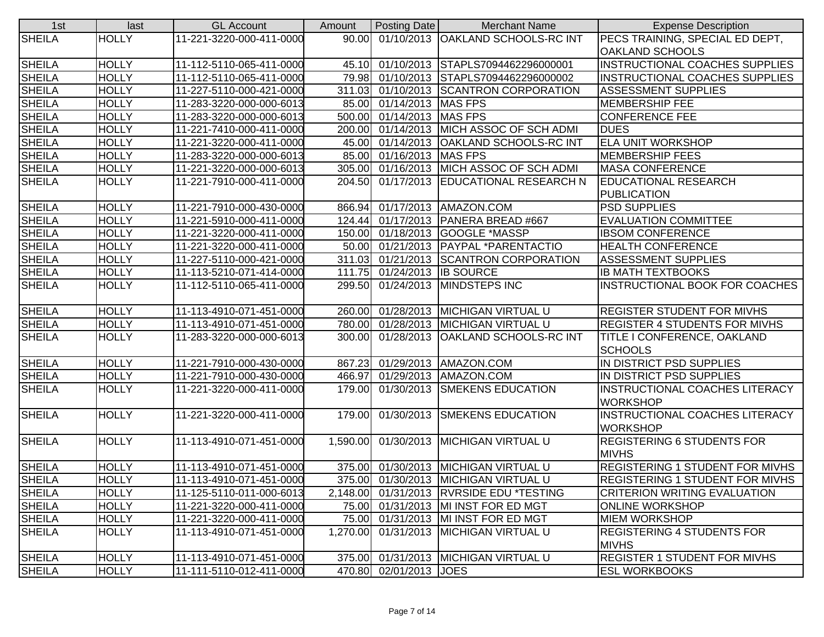| 1st           | last         | <b>GL Account</b>        | Amount   | Posting Date                | <b>Merchant Name</b>                     | <b>Expense Description</b>                           |
|---------------|--------------|--------------------------|----------|-----------------------------|------------------------------------------|------------------------------------------------------|
| <b>SHEILA</b> | <b>HOLLY</b> | 11-221-3220-000-411-0000 |          |                             | 90.00 01/10/2013 OAKLAND SCHOOLS-RC INT  | PECS TRAINING, SPECIAL ED DEPT,                      |
|               |              |                          |          |                             |                                          | <b>OAKLAND SCHOOLS</b>                               |
| <b>SHEILA</b> | <b>HOLLY</b> | 11-112-5110-065-411-0000 | 45.10    |                             | 01/10/2013 STAPLS7094462296000001        | <b>INSTRUCTIONAL COACHES SUPPLIES</b>                |
| <b>SHEILA</b> | <b>HOLLY</b> | 11-112-5110-065-411-0000 |          |                             | 79.98 01/10/2013 STAPLS7094462296000002  | <b>INSTRUCTIONAL COACHES SUPPLIES</b>                |
| <b>SHEILA</b> | <b>HOLLY</b> | 11-227-5110-000-421-0000 | 311.03   |                             | 01/10/2013 SCANTRON CORPORATION          | <b>ASSESSMENT SUPPLIES</b>                           |
| <b>SHEILA</b> | <b>HOLLY</b> | 11-283-3220-000-000-6013 |          | 85.00 01/14/2013 MAS FPS    |                                          | <b>MEMBERSHIP FEE</b>                                |
| <b>SHEILA</b> | <b>HOLLY</b> | 11-283-3220-000-000-6013 |          | 500.00 01/14/2013 MAS FPS   |                                          | <b>CONFERENCE FEE</b>                                |
| <b>SHEILA</b> | <b>HOLLY</b> | 11-221-7410-000-411-0000 | 200.00   |                             | 01/14/2013 MICH ASSOC OF SCH ADMI        | <b>DUES</b>                                          |
| <b>SHEILA</b> | <b>HOLLY</b> | 11-221-3220-000-411-0000 | 45.00    |                             | 01/14/2013 OAKLAND SCHOOLS-RC INT        | <b>ELA UNIT WORKSHOP</b>                             |
| <b>SHEILA</b> | <b>HOLLY</b> | 11-283-3220-000-000-6013 |          | 85.00 01/16/2013 MAS FPS    |                                          | <b>MEMBERSHIP FEES</b>                               |
| <b>SHEILA</b> | <b>HOLLY</b> | 11-221-3220-000-000-6013 | 305.00   |                             | 01/16/2013 MICH ASSOC OF SCH ADMI        | <b>MASA CONFERENCE</b>                               |
| <b>SHEILA</b> | <b>HOLLY</b> | 11-221-7910-000-411-0000 | 204.50   |                             | 01/17/2013 EDUCATIONAL RESEARCH N        | <b>EDUCATIONAL RESEARCH</b>                          |
|               |              |                          |          |                             |                                          | <b>PUBLICATION</b>                                   |
| <b>SHEILA</b> | <b>HOLLY</b> | 11-221-7910-000-430-0000 | 866.94   |                             | 01/17/2013   AMAZON.COM                  | <b>PSD SUPPLIES</b>                                  |
| <b>SHEILA</b> | <b>HOLLY</b> | 11-221-5910-000-411-0000 | 124.44   |                             | 01/17/2013   PANERA BREAD #667           | <b>EVALUATION COMMITTEE</b>                          |
| <b>SHEILA</b> | <b>HOLLY</b> | 11-221-3220-000-411-0000 | 150.00   |                             | 01/18/2013 GOOGLE *MASSP                 | <b>IBSOM CONFERENCE</b>                              |
| <b>SHEILA</b> | <b>HOLLY</b> | 11-221-3220-000-411-0000 |          |                             | 50.00 01/21/2013 PAYPAL *PARENTACTIO     | <b>HEALTH CONFERENCE</b>                             |
| <b>SHEILA</b> | <b>HOLLY</b> | 11-227-5110-000-421-0000 |          |                             | 311.03 01/21/2013 SCANTRON CORPORATION   | <b>ASSESSMENT SUPPLIES</b>                           |
| <b>SHEILA</b> | <b>HOLLY</b> | 11-113-5210-071-414-0000 |          | 111.75 01/24/2013 IB SOURCE |                                          | <b>IB MATH TEXTBOOKS</b>                             |
| <b>SHEILA</b> | <b>HOLLY</b> | 11-112-5110-065-411-0000 | 299.50   |                             | 01/24/2013 MINDSTEPS INC                 | <b>INSTRUCTIONAL BOOK FOR COACHES</b>                |
| <b>SHEILA</b> | <b>HOLLY</b> | 11-113-4910-071-451-0000 | 260.00   |                             | 01/28/2013 MICHIGAN VIRTUAL U            | <b>REGISTER STUDENT FOR MIVHS</b>                    |
| <b>SHEILA</b> | <b>HOLLY</b> | 11-113-4910-071-451-0000 |          |                             | 780.00 01/28/2013 MICHIGAN VIRTUAL U     | <b>REGISTER 4 STUDENTS FOR MIVHS</b>                 |
| <b>SHEILA</b> | <b>HOLLY</b> | 11-283-3220-000-000-6013 | 300.00   |                             | 01/28/2013 OAKLAND SCHOOLS-RC INT        | TITLE I CONFERENCE, OAKLAND                          |
|               |              |                          |          |                             |                                          | <b>SCHOOLS</b>                                       |
| <b>SHEILA</b> | <b>HOLLY</b> | 11-221-7910-000-430-0000 | 867.23   |                             | 01/29/2013 AMAZON.COM                    | IN DISTRICT PSD SUPPLIES                             |
| <b>SHEILA</b> | <b>HOLLY</b> | 11-221-7910-000-430-0000 | 466.97   |                             | 01/29/2013   AMAZON.COM                  | IN DISTRICT PSD SUPPLIES                             |
| <b>SHEILA</b> | <b>HOLLY</b> | 11-221-3220-000-411-0000 | 179.00   | 01/30/2013                  | <b>SMEKENS EDUCATION</b>                 | INSTRUCTIONAL COACHES LITERACY<br><b>WORKSHOP</b>    |
| <b>SHEILA</b> | <b>HOLLY</b> | 11-221-3220-000-411-0000 | 179.00   |                             | 01/30/2013 SMEKENS EDUCATION             | INSTRUCTIONAL COACHES LITERACY                       |
| <b>SHEILA</b> | <b>HOLLY</b> | 11-113-4910-071-451-0000 | 1,590.00 |                             | 01/30/2013 MICHIGAN VIRTUAL U            | <b>WORKSHOP</b><br><b>REGISTERING 6 STUDENTS FOR</b> |
|               |              |                          |          |                             |                                          | <b>MIVHS</b>                                         |
| <b>SHEILA</b> | <b>HOLLY</b> | 11-113-4910-071-451-0000 | 375.00   |                             | 01/30/2013 MICHIGAN VIRTUAL U            | <b>REGISTERING 1 STUDENT FOR MIVHS</b>               |
| <b>SHEILA</b> | <b>HOLLY</b> | 11-113-4910-071-451-0000 |          |                             | 375.00 01/30/2013 MICHIGAN VIRTUAL U     | <b>REGISTERING 1 STUDENT FOR MIVHS</b>               |
| <b>SHEILA</b> | <b>HOLLY</b> | 11-125-5110-011-000-6013 |          |                             | 2,148.00 01/31/2013 RVRSIDE EDU *TESTING | CRITERION WRITING EVALUATION                         |
| <b>SHEILA</b> | <b>HOLLY</b> | 11-221-3220-000-411-0000 |          |                             | 75.00 01/31/2013 MI INST FOR ED MGT      | <b>ONLINE WORKSHOP</b>                               |
| <b>SHEILA</b> | <b>HOLLY</b> | 11-221-3220-000-411-0000 |          |                             | 75.00 01/31/2013 MI INST FOR ED MGT      | <b>MIEM WORKSHOP</b>                                 |
| <b>SHEILA</b> | <b>HOLLY</b> | 11-113-4910-071-451-0000 | 1,270.00 |                             | 01/31/2013 MICHIGAN VIRTUAL U            | <b>REGISTERING 4 STUDENTS FOR</b>                    |
|               |              |                          |          |                             |                                          | <b>MIVHS</b>                                         |
| <b>SHEILA</b> | <b>HOLLY</b> | 11-113-4910-071-451-0000 | 375.00   |                             | 01/31/2013 MICHIGAN VIRTUAL U            | <b>REGISTER 1 STUDENT FOR MIVHS</b>                  |
| <b>SHEILA</b> | <b>HOLLY</b> | 11-111-5110-012-411-0000 |          | 470.80 02/01/2013 JOES      |                                          | <b>ESL WORKBOOKS</b>                                 |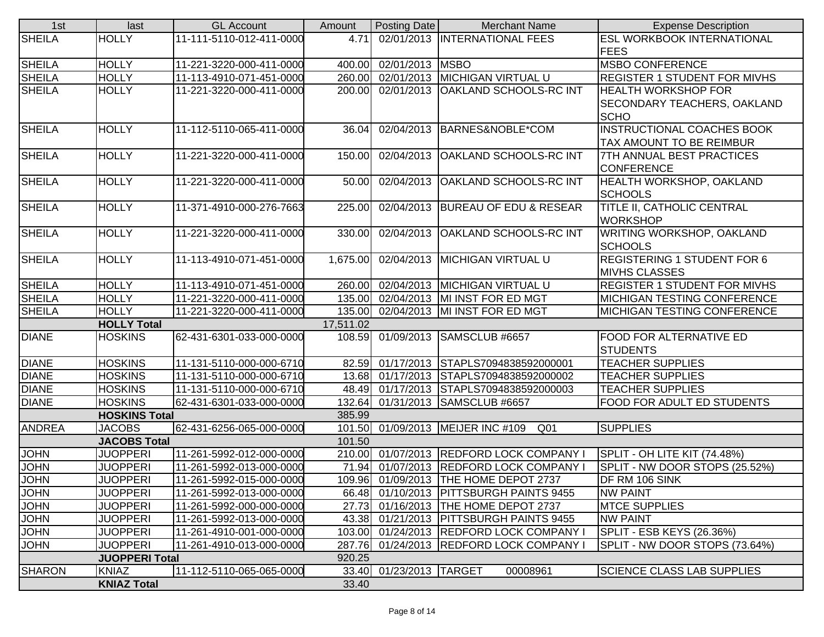| 1st           | last                                  | <b>GL Account</b>        | Amount    | <b>Posting Date</b>     | <b>Merchant Name</b>                                                              | <b>Expense Description</b>          |
|---------------|---------------------------------------|--------------------------|-----------|-------------------------|-----------------------------------------------------------------------------------|-------------------------------------|
| <b>SHEILA</b> | <b>HOLLY</b>                          | 11-111-5110-012-411-0000 | 4.71      |                         | 02/01/2013  INTERNATIONAL FEES                                                    | <b>ESL WORKBOOK INTERNATIONAL</b>   |
|               |                                       |                          |           |                         |                                                                                   | <b>FEES</b>                         |
| <b>SHEILA</b> | <b>HOLLY</b>                          | 11-221-3220-000-411-0000 | 400.00    | 02/01/2013 MSBO         |                                                                                   | <b>MSBO CONFERENCE</b>              |
| <b>SHEILA</b> | <b>HOLLY</b>                          | 11-113-4910-071-451-0000 |           |                         | 260.00 02/01/2013 MICHIGAN VIRTUAL U                                              | <b>REGISTER 1 STUDENT FOR MIVHS</b> |
| <b>SHEILA</b> | <b>HOLLY</b>                          | 11-221-3220-000-411-0000 |           |                         | 200.00 02/01/2013 OAKLAND SCHOOLS-RC INT                                          | <b>HEALTH WORKSHOP FOR</b>          |
|               |                                       |                          |           |                         |                                                                                   | <b>SECONDARY TEACHERS, OAKLAND</b>  |
|               |                                       |                          |           |                         |                                                                                   | <b>SCHO</b>                         |
| <b>SHEILA</b> | <b>HOLLY</b>                          | 11-112-5110-065-411-0000 | 36.04     |                         | 02/04/2013 BARNES&NOBLE*COM                                                       | <b>INSTRUCTIONAL COACHES BOOK</b>   |
|               |                                       |                          |           |                         |                                                                                   | TAX AMOUNT TO BE REIMBUR            |
| <b>SHEILA</b> | <b>HOLLY</b>                          | 11-221-3220-000-411-0000 | 150.00    |                         | 02/04/2013 OAKLAND SCHOOLS-RC INT                                                 | 7TH ANNUAL BEST PRACTICES           |
|               |                                       |                          |           |                         |                                                                                   | <b>CONFERENCE</b>                   |
| <b>SHEILA</b> | <b>HOLLY</b>                          | 11-221-3220-000-411-0000 | 50.00     |                         | 02/04/2013 OAKLAND SCHOOLS-RC INT                                                 | <b>HEALTH WORKSHOP, OAKLAND</b>     |
|               |                                       |                          |           |                         |                                                                                   | <b>SCHOOLS</b>                      |
| <b>SHEILA</b> | <b>HOLLY</b>                          | 11-371-4910-000-276-7663 | 225.00    |                         | 02/04/2013 BUREAU OF EDU & RESEAR                                                 | TITLE II, CATHOLIC CENTRAL          |
|               |                                       |                          |           |                         |                                                                                   | <b>WORKSHOP</b>                     |
| <b>SHEILA</b> | <b>HOLLY</b>                          | 11-221-3220-000-411-0000 | 330.00    |                         | 02/04/2013 OAKLAND SCHOOLS-RC INT                                                 | WRITING WORKSHOP, OAKLAND           |
|               |                                       |                          |           |                         |                                                                                   | <b>SCHOOLS</b>                      |
| <b>SHEILA</b> | <b>HOLLY</b>                          | 11-113-4910-071-451-0000 |           |                         | 1,675.00 02/04/2013 MICHIGAN VIRTUAL U                                            | <b>REGISTERING 1 STUDENT FOR 6</b>  |
|               |                                       |                          |           |                         |                                                                                   | <b>MIVHS CLASSES</b>                |
| <b>SHEILA</b> | <b>HOLLY</b>                          | 11-113-4910-071-451-0000 |           |                         | 260.00 02/04/2013 MICHIGAN VIRTUAL U                                              | <b>REGISTER 1 STUDENT FOR MIVHS</b> |
| <b>SHEILA</b> | <b>HOLLY</b>                          | 11-221-3220-000-411-0000 |           |                         | 135.00 02/04/2013 MI INST FOR ED MGT                                              | <b>MICHIGAN TESTING CONFERENCE</b>  |
| <b>SHEILA</b> | <b>HOLLY</b>                          | 11-221-3220-000-411-0000 |           |                         | 135.00 02/04/2013 MI INST FOR ED MGT                                              | MICHIGAN TESTING CONFERENCE         |
|               | <b>HOLLY Total</b>                    |                          | 17,511.02 |                         |                                                                                   |                                     |
| <b>DIANE</b>  | <b>HOSKINS</b>                        | 62-431-6301-033-000-0000 |           |                         | 108.59 01/09/2013 SAMSCLUB #6657                                                  | FOOD FOR ALTERNATIVE ED             |
|               |                                       |                          |           |                         |                                                                                   | <b>STUDENTS</b>                     |
| <b>DIANE</b>  | <b>HOSKINS</b>                        | 11-131-5110-000-000-6710 |           |                         | 82.59 01/17/2013 STAPLS7094838592000001                                           | <b>TEACHER SUPPLIES</b>             |
| <b>DIANE</b>  | <b>HOSKINS</b>                        | 11-131-5110-000-000-6710 |           |                         | 13.68 01/17/2013 STAPLS7094838592000002                                           | <b>TEACHER SUPPLIES</b>             |
| <b>DIANE</b>  | <b>HOSKINS</b>                        | 11-131-5110-000-000-6710 |           |                         | 48.49 01/17/2013 STAPLS7094838592000003                                           | <b>TEACHER SUPPLIES</b>             |
| <b>DIANE</b>  | <b>HOSKINS</b>                        | 62-431-6301-033-000-0000 |           |                         | 132.64 01/31/2013 SAMSCLUB #6657                                                  | FOOD FOR ADULT ED STUDENTS          |
|               | <b>HOSKINS Total</b>                  |                          | 385.99    |                         |                                                                                   |                                     |
| <b>ANDREA</b> | <b>JACOBS</b>                         | 62-431-6256-065-000-0000 |           |                         | 101.50 01/09/2013 MEIJER INC #109<br>Q01                                          | <b>SUPPLIES</b>                     |
|               | <b>JACOBS Total</b>                   |                          | 101.50    |                         |                                                                                   |                                     |
| <b>JOHN</b>   | <b>JUOPPERI</b>                       | 11-261-5992-012-000-0000 |           |                         | 210.00 01/07/2013 REDFORD LOCK COMPANY<br>71.94 01/07/2013 REDFORD LOCK COMPANY I | SPLIT - OH LITE KIT (74.48%)        |
| <b>JOHN</b>   | <b>JUOPPERI</b>                       | 11-261-5992-013-000-0000 |           |                         |                                                                                   | SPLIT - NW DOOR STOPS (25.52%)      |
| <b>JOHN</b>   | <b>JUOPPERI</b>                       | 11-261-5992-015-000-0000 |           |                         | 109.96 01/09/2013 THE HOME DEPOT 2737                                             | DF RM 106 SINK                      |
| <b>JOHN</b>   | <b>JUOPPERI</b>                       | 11-261-5992-013-000-0000 |           |                         | 66.48 01/10/2013 PITTSBURGH PAINTS 9455                                           | <b>NW PAINT</b>                     |
| <b>JOHN</b>   | <b>JUOPPERI</b>                       | 11-261-5992-000-000-0000 |           |                         | 27.73 01/16/2013 THE HOME DEPOT 2737                                              | <b>MTCE SUPPLIES</b>                |
| <b>JOHN</b>   | <b>JUOPPERI</b>                       | 11-261-5992-013-000-0000 |           |                         | 43.38 01/21/2013 PITTSBURGH PAINTS 9455                                           | <b>NW PAINT</b>                     |
| <b>JOHN</b>   | <b>JUOPPERI</b>                       | 11-261-4910-001-000-0000 |           |                         | 103.00 01/24/2013 REDFORD LOCK COMPANY                                            | SPLIT - ESB KEYS (26.36%)           |
| <b>JOHN</b>   | <b>JUOPPERI</b>                       | 11-261-4910-013-000-0000 |           |                         | 287.76 01/24/2013 REDFORD LOCK COMPANY I                                          | SPLIT - NW DOOR STOPS (73.64%)      |
| <b>SHARON</b> | <b>JUOPPERI Total</b><br><b>KNIAZ</b> | 11-112-5110-065-065-0000 | 920.25    | 33.40 01/23/2013 TARGET | 00008961                                                                          | <b>SCIENCE CLASS LAB SUPPLIES</b>   |
|               |                                       |                          |           |                         |                                                                                   |                                     |
|               | <b>KNIAZ Total</b>                    |                          | 33.40     |                         |                                                                                   |                                     |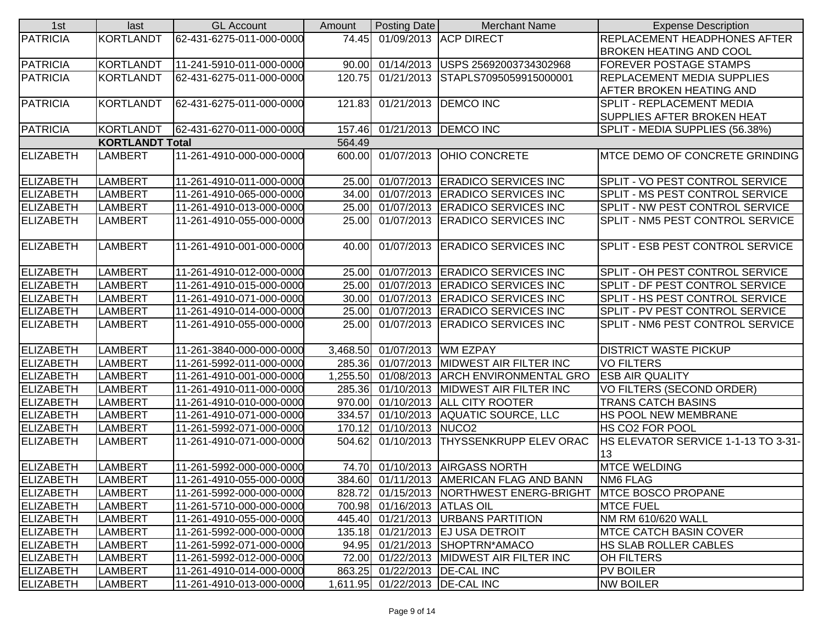| <b>PATRICIA</b><br><b>KORTLANDT</b><br>01/09/2013 ACP DIRECT<br>62-431-6275-011-000-0000<br>74.45<br><b>REPLACEMENT HEADPHONES AFTER</b><br><b>BROKEN HEATING AND COOL</b><br>KORTLANDT<br>11-241-5910-011-000-0000<br>01/14/2013 USPS 25692003734302968<br>FOREVER POSTAGE STAMPS<br>90.00 |  |
|---------------------------------------------------------------------------------------------------------------------------------------------------------------------------------------------------------------------------------------------------------------------------------------------|--|
| <b>PATRICIA</b>                                                                                                                                                                                                                                                                             |  |
|                                                                                                                                                                                                                                                                                             |  |
|                                                                                                                                                                                                                                                                                             |  |
| PATRICIA<br>KORTLANDT<br>62-431-6275-011-000-0000<br>120.75<br>01/21/2013 STAPLS7095059915000001<br><b>REPLACEMENT MEDIA SUPPLIES</b>                                                                                                                                                       |  |
| <b>AFTER BROKEN HEATING AND</b>                                                                                                                                                                                                                                                             |  |
| <b>PATRICIA</b><br>KORTLANDT<br>62-431-6275-011-000-0000<br>01/21/2013 DEMCO INC<br><b>SPLIT - REPLACEMENT MEDIA</b><br>121.83                                                                                                                                                              |  |
| <b>SUPPLIES AFTER BROKEN HEAT</b>                                                                                                                                                                                                                                                           |  |
| <b>PATRICIA</b><br>KORTLANDT<br>62-431-6270-011-000-0000<br>157.46 01/21/2013 DEMCO INC<br>SPLIT - MEDIA SUPPLIES (56.38%)                                                                                                                                                                  |  |
| 564.49<br><b>KORTLANDT Total</b>                                                                                                                                                                                                                                                            |  |
| <b>ELIZABETH</b><br>11-261-4910-000-000-0000<br><b>LAMBERT</b><br>600.00 01/07/2013 OHIO CONCRETE<br>MTCE DEMO OF CONCRETE GRINDING                                                                                                                                                         |  |
|                                                                                                                                                                                                                                                                                             |  |
| <b>ELIZABETH</b><br>LAMBERT<br>01/07/2013 ERADICO SERVICES INC<br>SPLIT - VO PEST CONTROL SERVICE<br>11-261-4910-011-000-0000<br>25.00                                                                                                                                                      |  |
| <b>ELIZABETH</b><br><b>LAMBERT</b><br>11-261-4910-065-000-0000<br>34.00<br>01/07/2013<br><b>ERADICO SERVICES INC</b><br>SPLIT - MS PEST CONTROL SERVICE                                                                                                                                     |  |
| <b>ELIZABETH</b><br>01/07/2013 ERADICO SERVICES INC<br>SPLIT - NW PEST CONTROL SERVICE<br>LAMBERT<br>11-261-4910-013-000-0000<br>25.00                                                                                                                                                      |  |
| <b>ELIZABETH</b><br>25.00<br>01/07/2013 ERADICO SERVICES INC<br>SPLIT - NM5 PEST CONTROL SERVICE<br>LAMBERT<br>11-261-4910-055-000-0000                                                                                                                                                     |  |
|                                                                                                                                                                                                                                                                                             |  |
| <b>ELIZABETH</b><br><b>LAMBERT</b><br>11-261-4910-001-000-0000<br>01/07/2013 ERADICO SERVICES INC<br><b>SPLIT - ESB PEST CONTROL SERVICE</b><br>40.00                                                                                                                                       |  |
|                                                                                                                                                                                                                                                                                             |  |
| <b>ELIZABETH</b><br>LAMBERT<br>01/07/2013 ERADICO SERVICES INC<br>SPLIT - OH PEST CONTROL SERVICE<br>11-261-4910-012-000-0000<br>25.00                                                                                                                                                      |  |
| <b>ELIZABETH</b><br>25.00 01/07/2013 ERADICO SERVICES INC<br>SPLIT - DF PEST CONTROL SERVICE<br>LAMBERT<br>11-261-4910-015-000-0000                                                                                                                                                         |  |
| <b>ELIZABETH</b><br>30.00 01/07/2013 ERADICO SERVICES INC<br>SPLIT - HS PEST CONTROL SERVICE<br>LAMBERT<br>11-261-4910-071-000-0000                                                                                                                                                         |  |
| <b>ELIZABETH</b><br>25.00 01/07/2013 ERADICO SERVICES INC<br>SPLIT - PV PEST CONTROL SERVICE<br>LAMBERT<br>11-261-4910-014-000-0000                                                                                                                                                         |  |
| <b>ELIZABETH</b><br>SPLIT - NM6 PEST CONTROL SERVICE<br><b>LAMBERT</b><br>11-261-4910-055-000-0000<br>01/07/2013 ERADICO SERVICES INC<br>25.00                                                                                                                                              |  |
|                                                                                                                                                                                                                                                                                             |  |
| <b>ELIZABETH</b><br>LAMBERT<br>11-261-3840-000-000-0000<br>01/07/2013 WM EZPAY<br><b>DISTRICT WASTE PICKUP</b><br>3,468.50                                                                                                                                                                  |  |
| <b>ELIZABETH</b><br>LAMBERT<br>285.36<br>01/07/2013<br><b>MIDWEST AIR FILTER INC</b><br><b>VO FILTERS</b><br>11-261-5992-011-000-0000                                                                                                                                                       |  |
| <b>ELIZABETH</b><br>LAMBERT<br>1,255.50<br>01/08/2013<br><b>ESB AIR QUALITY</b><br>11-261-4910-001-000-0000<br><b>ARCH ENVIRONMENTAL GRO</b>                                                                                                                                                |  |
| <b>ELIZABETH</b><br>LAMBERT<br>11-261-4910-011-000-0000<br>285.36<br>01/10/2013<br><b>MIDWEST AIR FILTER INC</b><br>VO FILTERS (SECOND ORDER)                                                                                                                                               |  |
| <b>ELIZABETH</b><br>LAMBERT<br>11-261-4910-010-000-0000<br>970.00<br>01/10/2013 ALL CITY ROOTER<br><b>TRANS CATCH BASINS</b>                                                                                                                                                                |  |
| <b>ELIZABETH</b><br>01/10/2013 AQUATIC SOURCE, LLC<br>LAMBERT<br>11-261-4910-071-000-0000<br>334.57<br>HS POOL NEW MEMBRANE                                                                                                                                                                 |  |
| <b>ELIZABETH</b><br>LAMBERT<br>11-261-5992-071-000-0000<br>170.12<br>01/10/2013 NUCO2<br>HS CO <sub>2</sub> FOR POOL                                                                                                                                                                        |  |
| <b>ELIZABETH</b><br>01/10/2013 THYSSENKRUPP ELEV ORAC<br>HS ELEVATOR SERVICE 1-1-13 TO 3-31-<br>504.62<br><b>LAMBERT</b><br>11-261-4910-071-000-0000                                                                                                                                        |  |
| 13                                                                                                                                                                                                                                                                                          |  |
| <b>ELIZABETH</b><br>74.70 01/10/2013 AIRGASS NORTH<br><b>MTCE WELDING</b><br>LAMBERT<br>11-261-5992-000-000-0000                                                                                                                                                                            |  |
| <b>ELIZABETH</b><br>384.60 01/11/2013 AMERICAN FLAG AND BANN<br>LAMBERT<br>11-261-4910-055-000-0000<br><b>NM6 FLAG</b>                                                                                                                                                                      |  |
| <b>ELIZABETH</b><br>LAMBERT<br>828.72 01/15/2013 NORTHWEST ENERG-BRIGHT MTCE BOSCO PROPANE<br>11-261-5992-000-000-0000                                                                                                                                                                      |  |
| ELIZABETH<br>700.98 01/16/2013 ATLAS OIL<br><b>LAMBERT</b><br><b>MTCE FUEL</b><br>11-261-5710-000-000-0000                                                                                                                                                                                  |  |
| <b>ELIZABETH</b><br><b>LAMBERT</b><br>445.40 01/21/2013 URBANS PARTITION<br>NM RM 610/620 WALL<br>11-261-4910-055-000-0000                                                                                                                                                                  |  |
| <b>ELIZABETH</b><br>LAMBERT<br>11-261-5992-000-000-0000<br>135.18 01/21/2013 EJ USA DETROIT<br><b>MTCE CATCH BASIN COVER</b>                                                                                                                                                                |  |
| <b>ELIZABETH</b><br>LAMBERT<br>11-261-5992-071-000-0000<br>94.95 01/21/2013 SHOPTRN*AMACO<br>HS SLAB ROLLER CABLES                                                                                                                                                                          |  |
| <b>ELIZABETH</b><br>LAMBERT<br>11-261-5992-012-000-0000<br>72.00 01/22/2013 MIDWEST AIR FILTER INC<br><b>OH FILTERS</b>                                                                                                                                                                     |  |
| <b>ELIZABETH</b><br><b>PV BOILER</b><br>LAMBERT<br>11-261-4910-014-000-0000<br>863.25 01/22/2013 DE-CAL INC                                                                                                                                                                                 |  |
| <b>ELIZABETH</b><br><b>NW BOILER</b><br>11-261-4910-013-000-0000<br>1,611.95 01/22/2013 DE-CAL INC<br>LAMBERT                                                                                                                                                                               |  |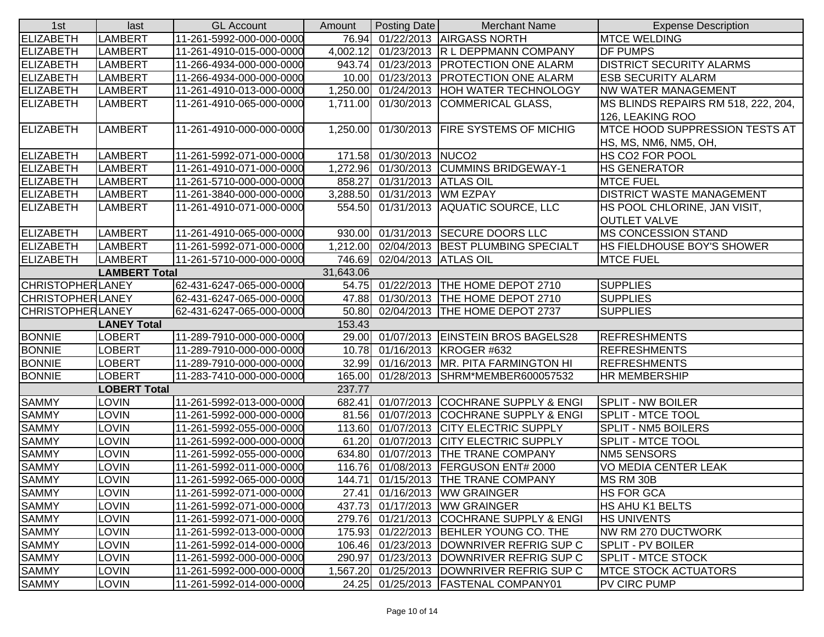| 1st                     | last                 | <b>GL Account</b>        | Amount    | Posting Date                 | <b>Merchant Name</b>                       | <b>Expense Description</b>             |
|-------------------------|----------------------|--------------------------|-----------|------------------------------|--------------------------------------------|----------------------------------------|
| ELIZABETH               | LAMBERT              | 11-261-5992-000-000-0000 |           |                              | 76.94 01/22/2013 AIRGASS NORTH             | <b>MTCE WELDING</b>                    |
| ELIZABETH               | <b>LAMBERT</b>       | 11-261-4910-015-000-0000 |           |                              | 4,002.12 01/23/2013 R L DEPPMANN COMPANY   | <b>DF PUMPS</b>                        |
| <b>ELIZABETH</b>        | <b>LAMBERT</b>       | 11-266-4934-000-000-0000 |           |                              | 943.74 01/23/2013 PROTECTION ONE ALARM     | <b>DISTRICT SECURITY ALARMS</b>        |
| <b>ELIZABETH</b>        | <b>LAMBERT</b>       | 11-266-4934-000-000-0000 |           |                              | 10.00 01/23/2013 PROTECTION ONE ALARM      | <b>ESB SECURITY ALARM</b>              |
| <b>ELIZABETH</b>        | LAMBERT              | 11-261-4910-013-000-0000 |           |                              | 1,250.00 01/24/2013 HOH WATER TECHNOLOGY   | <b>NW WATER MANAGEMENT</b>             |
| ELIZABETH               | <b>LAMBERT</b>       | 11-261-4910-065-000-0000 |           |                              | 1,711.00 01/30/2013 COMMERICAL GLASS,      | MS BLINDS REPAIRS RM 518, 222, 204,    |
|                         |                      |                          |           |                              |                                            | 126, LEAKING ROO                       |
| <b>ELIZABETH</b>        | <b>LAMBERT</b>       | 11-261-4910-000-000-0000 |           |                              | 1,250.00 01/30/2013 FIRE SYSTEMS OF MICHIG | <b>IMTCE HOOD SUPPRESSION TESTS AT</b> |
|                         |                      |                          |           |                              |                                            | HS, MS, NM6, NM5, OH,                  |
| <b>ELIZABETH</b>        | LAMBERT              | 11-261-5992-071-000-0000 |           | 171.58 01/30/2013 NUCO2      |                                            | HS CO2 FOR POOL                        |
| <b>ELIZABETH</b>        | <b>LAMBERT</b>       | 11-261-4910-071-000-0000 |           |                              | 1,272.96 01/30/2013 CUMMINS BRIDGEWAY-1    | <b>HS GENERATOR</b>                    |
| ELIZABETH               | <b>LAMBERT</b>       | 11-261-5710-000-000-0000 | 858.27    | 01/31/2013 ATLAS OIL         |                                            | <b>MTCE FUEL</b>                       |
| <b>ELIZABETH</b>        | LAMBERT              | 11-261-3840-000-000-0000 |           | 3,288.50 01/31/2013 WM EZPAY |                                            | <b>DISTRICT WASTE MANAGEMENT</b>       |
| <b>ELIZABETH</b>        | <b>LAMBERT</b>       | 11-261-4910-071-000-0000 | 554.50    |                              | 01/31/2013 AQUATIC SOURCE, LLC             | HS POOL CHLORINE, JAN VISIT,           |
|                         |                      |                          |           |                              |                                            | <b>OUTLET VALVE</b>                    |
| ELIZABETH               | <b>LAMBERT</b>       | 11-261-4910-065-000-0000 |           |                              | 930.00 01/31/2013 SECURE DOORS LLC         | <b>MS CONCESSION STAND</b>             |
| <b>ELIZABETH</b>        | <b>LAMBERT</b>       | 11-261-5992-071-000-0000 |           |                              | 1,212.00 02/04/2013 BEST PLUMBING SPECIALT | HS FIELDHOUSE BOY'S SHOWER             |
| <b>ELIZABETH</b>        | <b>LAMBERT</b>       | 11-261-5710-000-000-0000 |           | 746.69 02/04/2013 ATLAS OIL  |                                            | <b>MTCE FUEL</b>                       |
|                         | <b>LAMBERT Total</b> |                          | 31,643.06 |                              |                                            |                                        |
| <b>CHRISTOPHERLANEY</b> |                      | 62-431-6247-065-000-0000 |           |                              | 54.75 01/22/2013 THE HOME DEPOT 2710       | <b>SUPPLIES</b>                        |
| <b>CHRISTOPHERLANEY</b> |                      | 62-431-6247-065-000-0000 |           |                              | 47.88 01/30/2013  THE HOME DEPOT 2710      | <b>SUPPLIES</b>                        |
| <b>CHRISTOPHERLANEY</b> |                      | 62-431-6247-065-000-0000 |           |                              | 50.80 02/04/2013 THE HOME DEPOT 2737       | <b>SUPPLIES</b>                        |
|                         | <b>LANEY Total</b>   |                          | 153.43    |                              |                                            |                                        |
| <b>BONNIE</b>           | LOBERT               | 11-289-7910-000-000-0000 |           |                              | 29.00 01/07/2013 EINSTEIN BROS BAGELS28    | <b>REFRESHMENTS</b>                    |
| <b>BONNIE</b>           | <b>LOBERT</b>        | 11-289-7910-000-000-0000 |           |                              | 10.78 01/16/2013 KROGER #632               | <b>REFRESHMENTS</b>                    |
| <b>BONNIE</b>           | <b>LOBERT</b>        | 11-289-7910-000-000-0000 |           |                              | 32.99 01/16/2013 MR. PITA FARMINGTON HI    | <b>REFRESHMENTS</b>                    |
| <b>BONNIE</b>           | LOBERT               | 11-283-7410-000-000-0000 |           |                              | 165.00 01/28/2013 SHRM*MEMBER600057532     | <b>HR MEMBERSHIP</b>                   |
|                         | <b>LOBERT Total</b>  |                          | 237.77    |                              |                                            |                                        |
| <b>SAMMY</b>            | <b>LOVIN</b>         | 11-261-5992-013-000-0000 |           |                              | 682.41 01/07/2013 COCHRANE SUPPLY & ENGI   | <b>SPLIT - NW BOILER</b>               |
| <b>SAMMY</b>            | LOVIN                | 11-261-5992-000-000-0000 |           |                              | 81.56 01/07/2013 COCHRANE SUPPLY & ENGI    | <b>SPLIT - MTCE TOOL</b>               |
| <b>SAMMY</b>            | <b>LOVIN</b>         | 11-261-5992-055-000-0000 |           |                              | 113.60 01/07/2013 CITY ELECTRIC SUPPLY     | <b>SPLIT - NM5 BOILERS</b>             |
| <b>SAMMY</b>            | <b>LOVIN</b>         | 11-261-5992-000-000-0000 |           |                              | 61.20 01/07/2013 CITY ELECTRIC SUPPLY      | SPLIT - MTCE TOOL                      |
| <b>SAMMY</b>            | LOVIN                | 11-261-5992-055-000-0000 |           |                              | 634.80 01/07/2013 THE TRANE COMPANY        | NM5 SENSORS                            |
| <b>SAMMY</b>            | LOVIN                | 11-261-5992-011-000-0000 |           |                              | 116.76 01/08/2013 FERGUSON ENT# 2000       | VO MEDIA CENTER LEAK                   |
| <b>SAMMY</b>            | <b>LOVIN</b>         | 11-261-5992-065-000-0000 |           |                              | 144.71 01/15/2013 THE TRANE COMPANY        | MS RM 30B                              |
| <b>SAMMY</b>            | <b>LOVIN</b>         | 11-261-5992-071-000-0000 |           |                              | 27.41 01/16/2013 WW GRAINGER               | <b>HS FOR GCA</b>                      |
| <b>SAMMY</b>            | LOVIN                | 11-261-5992-071-000-0000 | 437.73    |                              | 01/17/2013 WW GRAINGER                     | HS AHU K1 BELTS                        |
| <b>SAMMY</b>            | LOVIN                | 11-261-5992-071-000-0000 |           |                              | 279.76 01/21/2013 COCHRANE SUPPLY & ENGI   | <b>HS UNIVENTS</b>                     |
| <b>SAMMY</b>            | LOVIN                | 11-261-5992-013-000-0000 | 175.93    |                              | 01/22/2013 BEHLER YOUNG CO. THE            | NW RM 270 DUCTWORK                     |
| <b>SAMMY</b>            | LOVIN                | 11-261-5992-014-000-0000 |           |                              | 106.46 01/23/2013 DOWNRIVER REFRIG SUP C   | SPLIT - PV BOILER                      |
| <b>SAMMY</b>            | LOVIN                | 11-261-5992-000-000-0000 | 290.97    |                              | 01/23/2013  DOWNRIVER REFRIG SUP C         | SPLIT - MTCE STOCK                     |
| <b>SAMMY</b>            | LOVIN                | 11-261-5992-000-000-0000 |           |                              | 1,567.20 01/25/2013 DOWNRIVER REFRIG SUP C | <b>MTCE STOCK ACTUATORS</b>            |
| <b>SAMMY</b>            | <b>LOVIN</b>         | 11-261-5992-014-000-0000 | 24.25     |                              | 01/25/2013 FASTENAL COMPANY01              | PV CIRC PUMP                           |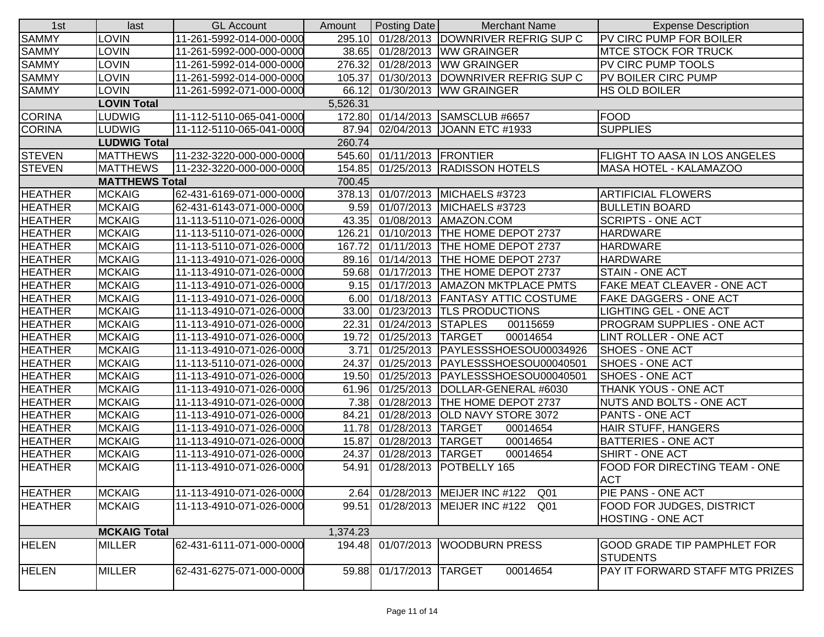| 1st            | last                  | <b>GL Account</b>        | Amount   | Posting Date               | <b>Merchant Name</b>                     | <b>Expense Description</b>           |
|----------------|-----------------------|--------------------------|----------|----------------------------|------------------------------------------|--------------------------------------|
| <b>SAMMY</b>   | LOVIN                 | 11-261-5992-014-000-0000 |          |                            | 295.10 01/28/2013 DOWNRIVER REFRIG SUP C | <b>PV CIRC PUMP FOR BOILER</b>       |
| <b>SAMMY</b>   | <b>LOVIN</b>          | 11-261-5992-000-000-0000 |          |                            | 38.65 01/28/2013 WW GRAINGER             | <b>IMTCE STOCK FOR TRUCK</b>         |
| <b>SAMMY</b>   | <b>LOVIN</b>          | 11-261-5992-014-000-0000 | 276.32   |                            | 01/28/2013 WW GRAINGER                   | <b>PV CIRC PUMP TOOLS</b>            |
| <b>SAMMY</b>   | <b>LOVIN</b>          | 11-261-5992-014-000-0000 | 105.37   |                            | 01/30/2013 DOWNRIVER REFRIG SUP C        | PV BOILER CIRC PUMP                  |
| <b>SAMMY</b>   | <b>LOVIN</b>          | 11-261-5992-071-000-0000 | 66.12    |                            | 01/30/2013 WW GRAINGER                   | <b>HS OLD BOILER</b>                 |
|                | <b>LOVIN Total</b>    |                          | 5,526.31 |                            |                                          |                                      |
| <b>CORINA</b>  | <b>LUDWIG</b>         | 11-112-5110-065-041-0000 |          |                            | 172.80 01/14/2013 SAMSCLUB #6657         | <b>FOOD</b>                          |
| <b>CORINA</b>  | LUDWIG                | 11-112-5110-065-041-0000 | 87.94    |                            | 02/04/2013 JOANN ETC #1933               | <b>SUPPLIES</b>                      |
|                | <b>LUDWIG Total</b>   |                          | 260.74   |                            |                                          |                                      |
| <b>STEVEN</b>  | <b>MATTHEWS</b>       | 11-232-3220-000-000-0000 |          | 545.60 01/11/2013 FRONTIER |                                          | <b>FLIGHT TO AASA IN LOS ANGELES</b> |
| <b>STEVEN</b>  | <b>MATTHEWS</b>       | 11-232-3220-000-000-0000 | 154.85   |                            | 01/25/2013 RADISSON HOTELS               | MASA HOTEL - KALAMAZOO               |
|                | <b>MATTHEWS Total</b> |                          | 700.45   |                            |                                          |                                      |
| <b>HEATHER</b> | <b>MCKAIG</b>         | 62-431-6169-071-000-0000 |          |                            | 378.13 01/07/2013 MICHAELS #3723         | <b>ARTIFICIAL FLOWERS</b>            |
| <b>HEATHER</b> | <b>MCKAIG</b>         | 62-431-6143-071-000-0000 | 9.59     |                            | 01/07/2013 MICHAELS #3723                | <b>BULLETIN BOARD</b>                |
| <b>HEATHER</b> | <b>MCKAIG</b>         | 11-113-5110-071-026-0000 | 43.35    |                            | 01/08/2013   AMAZON.COM                  | <b>SCRIPTS - ONE ACT</b>             |
| <b>HEATHER</b> | <b>MCKAIG</b>         | 11-113-5110-071-026-0000 | 126.21   |                            | 01/10/2013 THE HOME DEPOT 2737           | <b>HARDWARE</b>                      |
| <b>HEATHER</b> | <b>MCKAIG</b>         | 11-113-5110-071-026-0000 | 167.72   |                            | 01/11/2013 THE HOME DEPOT 2737           | <b>HARDWARE</b>                      |
| <b>HEATHER</b> | <b>MCKAIG</b>         | 11-113-4910-071-026-0000 |          |                            | 89.16 01/14/2013 THE HOME DEPOT 2737     | <b>HARDWARE</b>                      |
| <b>HEATHER</b> | <b>MCKAIG</b>         | 11-113-4910-071-026-0000 |          |                            | 59.68 01/17/2013 THE HOME DEPOT 2737     | <b>STAIN - ONE ACT</b>               |
| <b>HEATHER</b> | <b>MCKAIG</b>         | 11-113-4910-071-026-0000 |          |                            | 9.15 01/17/2013 AMAZON MKTPLACE PMTS     | <b>FAKE MEAT CLEAVER - ONE ACT</b>   |
| <b>HEATHER</b> | <b>MCKAIG</b>         | 11-113-4910-071-026-0000 |          |                            | 6.00 01/18/2013 FANTASY ATTIC COSTUME    | FAKE DAGGERS - ONE ACT               |
| <b>HEATHER</b> | <b>MCKAIG</b>         | 11-113-4910-071-026-0000 |          |                            | 33.00 01/23/2013 TLS PRODUCTIONS         | <b>LIGHTING GEL - ONE ACT</b>        |
| <b>HEATHER</b> | <b>MCKAIG</b>         | 11-113-4910-071-026-0000 | 22.31    | 01/24/2013 STAPLES         | 00115659                                 | <b>PROGRAM SUPPLIES - ONE ACT</b>    |
| <b>HEATHER</b> | <b>MCKAIG</b>         | 11-113-4910-071-026-0000 | 19.72    | 01/25/2013 TARGET          | 00014654                                 | <b>LINT ROLLER - ONE ACT</b>         |
| <b>HEATHER</b> | <b>MCKAIG</b>         | 11-113-4910-071-026-0000 | 3.71     |                            | 01/25/2013 PAYLESSSHOESOU00034926        | <b>SHOES - ONE ACT</b>               |
| <b>HEATHER</b> | <b>MCKAIG</b>         | 11-113-5110-071-026-0000 | 24.37    |                            | 01/25/2013   PAYLESSSHOESOU00040501      | <b>SHOES - ONE ACT</b>               |
| <b>HEATHER</b> | <b>MCKAIG</b>         | 11-113-4910-071-026-0000 | 19.50    |                            | 01/25/2013   PAYLESSSHOESOU00040501      | <b>SHOES - ONE ACT</b>               |
| <b>HEATHER</b> | <b>MCKAIG</b>         | 11-113-4910-071-026-0000 | 61.96    |                            | 01/25/2013  DOLLAR-GENERAL #6030         | THANK YOUS - ONE ACT                 |
| <b>HEATHER</b> | <b>MCKAIG</b>         | 11-113-4910-071-026-0000 | 7.38     |                            | 01/28/2013 THE HOME DEPOT 2737           | NUTS AND BOLTS - ONE ACT             |
| <b>HEATHER</b> | <b>MCKAIG</b>         | 11-113-4910-071-026-0000 | 84.21    |                            | 01/28/2013 OLD NAVY STORE 3072           | <b>PANTS - ONE ACT</b>               |
| <b>HEATHER</b> | <b>MCKAIG</b>         | 11-113-4910-071-026-0000 |          | 11.78 01/28/2013 TARGET    | 00014654                                 | HAIR STUFF, HANGERS                  |
| <b>HEATHER</b> | <b>MCKAIG</b>         | 11-113-4910-071-026-0000 | 15.87    | 01/28/2013 TARGET          | 00014654                                 | <b>BATTERIES - ONE ACT</b>           |
| <b>HEATHER</b> | <b>MCKAIG</b>         | 11-113-4910-071-026-0000 | 24.37    | 01/28/2013 TARGET          | 00014654                                 | SHIRT - ONE ACT                      |
| <b>HEATHER</b> | <b>MCKAIG</b>         | 11-113-4910-071-026-0000 | 54.91    |                            | 01/28/2013   POTBELLY 165                | FOOD FOR DIRECTING TEAM - ONE        |
|                |                       |                          |          |                            |                                          | <b>ACT</b>                           |
| <b>HEATHER</b> | <b>MCKAIG</b>         | 11-113-4910-071-026-0000 |          |                            | 2.64 01/28/2013 MEIJER INC #122<br>Q01   | PIE PANS - ONE ACT                   |
| <b>HEATHER</b> | <b>MCKAIG</b>         | 11-113-4910-071-026-0000 | 99.51    |                            | 01/28/2013 MEIJER INC #122<br>Q01        | <b>FOOD FOR JUDGES, DISTRICT</b>     |
|                |                       |                          |          |                            |                                          | <b>HOSTING - ONE ACT</b>             |
|                | <b>MCKAIG Total</b>   |                          | 1,374.23 |                            |                                          |                                      |
| <b>HELEN</b>   | <b>MILLER</b>         | 62-431-6111-071-000-0000 | 194.48   |                            | 01/07/2013 WOODBURN PRESS                | <b>GOOD GRADE TIP PAMPHLET FOR</b>   |
|                |                       |                          |          |                            |                                          | <b>STUDENTS</b>                      |
| <b>HELEN</b>   | <b>MILLER</b>         | 62-431-6275-071-000-0000 | 59.88    | 01/17/2013 TARGET          | 00014654                                 | PAY IT FORWARD STAFF MTG PRIZES      |
|                |                       |                          |          |                            |                                          |                                      |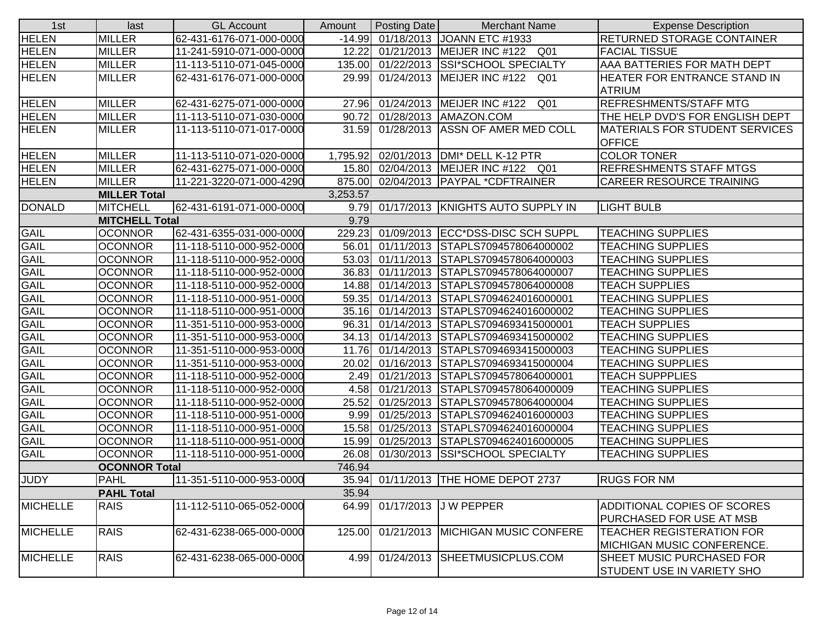| <b>MILLER</b><br>-14.99 01/18/2013 JOANN ETC #1933<br>RETURNED STORAGE CONTAINER<br>62-431-6176-071-000-0000<br><b>HELEN</b><br><b>MILLER</b><br>12.22<br>01/21/2013 MEIJER INC #122 Q01<br><b>FACIAL TISSUE</b><br>11-241-5910-071-000-0000<br><b>HELEN</b><br><b>MILLER</b><br>135.00<br>01/22/2013 SSI*SCHOOL SPECIALTY<br>AAA BATTERIES FOR MATH DEPT<br>11-113-5110-071-045-0000<br><b>MILLER</b><br>29.99<br>62-431-6176-071-000-0000<br>01/24/2013   MEIJER INC #122 Q01<br>HEATER FOR ENTRANCE STAND IN<br><b>ATRIUM</b><br><b>HELEN</b><br><b>REFRESHMENTS/STAFF MTG</b><br><b>MILLER</b><br>62-431-6275-071-000-0000<br>27.96<br>01/24/2013 MEIJER INC #122<br>Q01<br><b>MILLER</b><br>11-113-5110-071-030-0000<br>90.72<br>01/28/2013   AMAZON.COM<br>THE HELP DVD'S FOR ENGLISH DEPT<br><b>HELEN</b><br><b>MILLER</b><br>01/28/2013 ASSN OF AMER MED COLL<br>11-113-5110-071-017-0000<br>31.59<br><b>MATERIALS FOR STUDENT SERVICES</b><br><b>OFFICE</b><br><b>COLOR TONER</b><br><b>MILLER</b><br>11-113-5110-071-020-0000<br>1,795.92<br>02/01/2013   DMI* DELL K-12 PTR<br><b>HELEN</b><br><b>MILLER</b><br>62-431-6275-071-000-0000<br>15.80 02/04/2013 MEIJER INC #122 Q01<br><b>REFRESHMENTS STAFF MTGS</b><br><b>HELEN</b><br><b>MILLER</b><br>11-221-3220-071-000-4290<br>875.00<br>02/04/2013   PAYPAL * CDFTRAINER<br><b>CAREER RESOURCE TRAINING</b><br>3,253.57<br><b>MILLER Total</b><br><b>DONALD</b><br><b>MITCHELL</b><br>62-431-6191-071-000-0000<br>9.79 01/17/2013 KNIGHTS AUTO SUPPLY IN<br><b>LIGHT BULB</b><br><b>MITCHELL Total</b><br>9.79<br>GAIL<br><b>OCONNOR</b><br>62-431-6355-031-000-0000<br>229.23<br>01/09/2013 ECC*DSS-DISC SCH SUPPL<br><b>TEACHING SUPPLIES</b><br><b>GAIL</b><br><b>OCONNOR</b><br>56.01<br>01/11/2013 STAPLS7094578064000002<br><b>TEACHING SUPPLIES</b><br>11-118-5110-000-952-0000<br><b>GAIL</b><br><b>OCONNOR</b><br>53.03<br>01/11/2013 STAPLS7094578064000003<br><b>TEACHING SUPPLIES</b><br>11-118-5110-000-952-0000<br><b>GAIL</b><br><b>OCONNOR</b><br>11-118-5110-000-952-0000<br>36.83<br>01/11/2013 STAPLS7094578064000007<br><b>TEACHING SUPPLIES</b><br><b>GAIL</b><br><b>OCONNOR</b><br>11-118-5110-000-952-0000<br>14.88 01/14/2013 STAPLS7094578064000008<br><b>TEACH SUPPLIES</b><br><b>GAIL</b><br><b>OCONNOR</b><br>01/14/2013 STAPLS7094624016000001<br><b>TEACHING SUPPLIES</b><br>11-118-5110-000-951-0000<br>59.35<br><b>GAIL</b><br><b>OCONNOR</b><br>11-118-5110-000-951-0000<br>35.16 01/14/2013 STAPLS7094624016000002<br><b>TEACHING SUPPLIES</b><br><b>GAIL</b><br><b>OCONNOR</b><br>01/14/2013 STAPLS7094693415000001<br><b>TEACH SUPPLIES</b><br>11-351-5110-000-953-0000<br>96.31<br><b>GAIL</b><br><b>OCONNOR</b><br>34.13<br>01/14/2013 STAPLS7094693415000002<br><b>TEACHING SUPPLIES</b><br>11-351-5110-000-953-0000<br><b>GAIL</b><br>11.76 01/14/2013 STAPLS7094693415000003<br><b>TEACHING SUPPLIES</b><br><b>OCONNOR</b><br>11-351-5110-000-953-0000<br><b>GAIL</b><br><b>OCONNOR</b><br>11-351-5110-000-953-0000<br>20.02<br>01/16/2013 STAPLS7094693415000004<br><b>TEACHING SUPPLIES</b><br>GAIL<br><b>OCONNOR</b><br>01/21/2013 STAPLS7094578064000001<br><b>TEACH SUPPPLIES</b><br>11-118-5110-000-952-0000<br>2.49<br><b>GAIL</b><br><b>OCONNOR</b><br>01/21/2013 STAPLS7094578064000009<br><b>TEACHING SUPPLIES</b><br>11-118-5110-000-952-0000<br>4.58<br><b>GAIL</b><br><b>OCONNOR</b><br>25.52<br>01/25/2013 STAPLS7094578064000004<br><b>TEACHING SUPPLIES</b><br>11-118-5110-000-952-0000<br><b>GAIL</b><br><b>OCONNOR</b><br>9.99<br><b>TEACHING SUPPLIES</b><br>11-118-5110-000-951-0000<br>01/25/2013 STAPLS7094624016000003<br><b>GAIL</b><br><b>OCONNOR</b><br>15.58<br>01/25/2013 STAPLS7094624016000004<br><b>TEACHING SUPPLIES</b><br>11-118-5110-000-951-0000<br>GAIL<br><b>OCONNOR</b><br>15.99<br>11-118-5110-000-951-0000<br>01/25/2013 STAPLS7094624016000005<br><b>TEACHING SUPPLIES</b><br><b>GAIL</b><br><b>OCONNOR</b><br>11-118-5110-000-951-0000<br>26.08<br>01/30/2013 SSI*SCHOOL SPECIALTY<br><b>TEACHING SUPPLIES</b><br><b>OCONNOR Total</b><br>746.94<br><b>JUDY</b><br>35.94 01/11/2013 THE HOME DEPOT 2737<br><b>PAHL</b><br>11-351-5110-000-953-0000<br><b>RUGS FOR NM</b><br><b>PAHL Total</b><br>35.94<br><b>MICHELLE</b><br><b>RAIS</b><br>64.99<br>01/17/2013 J W PEPPER<br>ADDITIONAL COPIES OF SCORES<br>11-112-5110-065-052-0000<br>PURCHASED FOR USE AT MSB<br><b>RAIS</b><br>01/21/2013 MICHIGAN MUSIC CONFERE<br><b>TEACHER REGISTERATION FOR</b><br>62-431-6238-065-000-0000<br>125.00<br><b>MICHIGAN MUSIC CONFERENCE.</b><br><b>RAIS</b><br>62-431-6238-065-000-0000<br>01/24/2013 SHEETMUSICPLUS.COM<br>SHEET MUSIC PURCHASED FOR<br>4.99<br><b>STUDENT USE IN VARIETY SHO</b> | 1st             | last | <b>GL Account</b> | Amount | Posting Date | <b>Merchant Name</b> | <b>Expense Description</b> |
|------------------------------------------------------------------------------------------------------------------------------------------------------------------------------------------------------------------------------------------------------------------------------------------------------------------------------------------------------------------------------------------------------------------------------------------------------------------------------------------------------------------------------------------------------------------------------------------------------------------------------------------------------------------------------------------------------------------------------------------------------------------------------------------------------------------------------------------------------------------------------------------------------------------------------------------------------------------------------------------------------------------------------------------------------------------------------------------------------------------------------------------------------------------------------------------------------------------------------------------------------------------------------------------------------------------------------------------------------------------------------------------------------------------------------------------------------------------------------------------------------------------------------------------------------------------------------------------------------------------------------------------------------------------------------------------------------------------------------------------------------------------------------------------------------------------------------------------------------------------------------------------------------------------------------------------------------------------------------------------------------------------------------------------------------------------------------------------------------------------------------------------------------------------------------------------------------------------------------------------------------------------------------------------------------------------------------------------------------------------------------------------------------------------------------------------------------------------------------------------------------------------------------------------------------------------------------------------------------------------------------------------------------------------------------------------------------------------------------------------------------------------------------------------------------------------------------------------------------------------------------------------------------------------------------------------------------------------------------------------------------------------------------------------------------------------------------------------------------------------------------------------------------------------------------------------------------------------------------------------------------------------------------------------------------------------------------------------------------------------------------------------------------------------------------------------------------------------------------------------------------------------------------------------------------------------------------------------------------------------------------------------------------------------------------------------------------------------------------------------------------------------------------------------------------------------------------------------------------------------------------------------------------------------------------------------------------------------------------------------------------------------------------------------------------------------------------------------------------------------------------------------------------------------------------------------------------------------------------------------------------------------------------------------------------------------------------------------------------------------------------------------------------------------------------------------------------------------------------------------------------------------------------------------------------------------------------------------------------------------------------------------------------------------------------------------------------------------------------------------------|-----------------|------|-------------------|--------|--------------|----------------------|----------------------------|
|                                                                                                                                                                                                                                                                                                                                                                                                                                                                                                                                                                                                                                                                                                                                                                                                                                                                                                                                                                                                                                                                                                                                                                                                                                                                                                                                                                                                                                                                                                                                                                                                                                                                                                                                                                                                                                                                                                                                                                                                                                                                                                                                                                                                                                                                                                                                                                                                                                                                                                                                                                                                                                                                                                                                                                                                                                                                                                                                                                                                                                                                                                                                                                                                                                                                                                                                                                                                                                                                                                                                                                                                                                                                                                                                                                                                                                                                                                                                                                                                                                                                                                                                                                                                                                                                                                                                                                                                                                                                                                                                                                                                                                                                                                                                                | <b>HELEN</b>    |      |                   |        |              |                      |                            |
|                                                                                                                                                                                                                                                                                                                                                                                                                                                                                                                                                                                                                                                                                                                                                                                                                                                                                                                                                                                                                                                                                                                                                                                                                                                                                                                                                                                                                                                                                                                                                                                                                                                                                                                                                                                                                                                                                                                                                                                                                                                                                                                                                                                                                                                                                                                                                                                                                                                                                                                                                                                                                                                                                                                                                                                                                                                                                                                                                                                                                                                                                                                                                                                                                                                                                                                                                                                                                                                                                                                                                                                                                                                                                                                                                                                                                                                                                                                                                                                                                                                                                                                                                                                                                                                                                                                                                                                                                                                                                                                                                                                                                                                                                                                                                |                 |      |                   |        |              |                      |                            |
|                                                                                                                                                                                                                                                                                                                                                                                                                                                                                                                                                                                                                                                                                                                                                                                                                                                                                                                                                                                                                                                                                                                                                                                                                                                                                                                                                                                                                                                                                                                                                                                                                                                                                                                                                                                                                                                                                                                                                                                                                                                                                                                                                                                                                                                                                                                                                                                                                                                                                                                                                                                                                                                                                                                                                                                                                                                                                                                                                                                                                                                                                                                                                                                                                                                                                                                                                                                                                                                                                                                                                                                                                                                                                                                                                                                                                                                                                                                                                                                                                                                                                                                                                                                                                                                                                                                                                                                                                                                                                                                                                                                                                                                                                                                                                |                 |      |                   |        |              |                      |                            |
|                                                                                                                                                                                                                                                                                                                                                                                                                                                                                                                                                                                                                                                                                                                                                                                                                                                                                                                                                                                                                                                                                                                                                                                                                                                                                                                                                                                                                                                                                                                                                                                                                                                                                                                                                                                                                                                                                                                                                                                                                                                                                                                                                                                                                                                                                                                                                                                                                                                                                                                                                                                                                                                                                                                                                                                                                                                                                                                                                                                                                                                                                                                                                                                                                                                                                                                                                                                                                                                                                                                                                                                                                                                                                                                                                                                                                                                                                                                                                                                                                                                                                                                                                                                                                                                                                                                                                                                                                                                                                                                                                                                                                                                                                                                                                | <b>HELEN</b>    |      |                   |        |              |                      |                            |
|                                                                                                                                                                                                                                                                                                                                                                                                                                                                                                                                                                                                                                                                                                                                                                                                                                                                                                                                                                                                                                                                                                                                                                                                                                                                                                                                                                                                                                                                                                                                                                                                                                                                                                                                                                                                                                                                                                                                                                                                                                                                                                                                                                                                                                                                                                                                                                                                                                                                                                                                                                                                                                                                                                                                                                                                                                                                                                                                                                                                                                                                                                                                                                                                                                                                                                                                                                                                                                                                                                                                                                                                                                                                                                                                                                                                                                                                                                                                                                                                                                                                                                                                                                                                                                                                                                                                                                                                                                                                                                                                                                                                                                                                                                                                                |                 |      |                   |        |              |                      |                            |
|                                                                                                                                                                                                                                                                                                                                                                                                                                                                                                                                                                                                                                                                                                                                                                                                                                                                                                                                                                                                                                                                                                                                                                                                                                                                                                                                                                                                                                                                                                                                                                                                                                                                                                                                                                                                                                                                                                                                                                                                                                                                                                                                                                                                                                                                                                                                                                                                                                                                                                                                                                                                                                                                                                                                                                                                                                                                                                                                                                                                                                                                                                                                                                                                                                                                                                                                                                                                                                                                                                                                                                                                                                                                                                                                                                                                                                                                                                                                                                                                                                                                                                                                                                                                                                                                                                                                                                                                                                                                                                                                                                                                                                                                                                                                                | <b>HELEN</b>    |      |                   |        |              |                      |                            |
|                                                                                                                                                                                                                                                                                                                                                                                                                                                                                                                                                                                                                                                                                                                                                                                                                                                                                                                                                                                                                                                                                                                                                                                                                                                                                                                                                                                                                                                                                                                                                                                                                                                                                                                                                                                                                                                                                                                                                                                                                                                                                                                                                                                                                                                                                                                                                                                                                                                                                                                                                                                                                                                                                                                                                                                                                                                                                                                                                                                                                                                                                                                                                                                                                                                                                                                                                                                                                                                                                                                                                                                                                                                                                                                                                                                                                                                                                                                                                                                                                                                                                                                                                                                                                                                                                                                                                                                                                                                                                                                                                                                                                                                                                                                                                |                 |      |                   |        |              |                      |                            |
|                                                                                                                                                                                                                                                                                                                                                                                                                                                                                                                                                                                                                                                                                                                                                                                                                                                                                                                                                                                                                                                                                                                                                                                                                                                                                                                                                                                                                                                                                                                                                                                                                                                                                                                                                                                                                                                                                                                                                                                                                                                                                                                                                                                                                                                                                                                                                                                                                                                                                                                                                                                                                                                                                                                                                                                                                                                                                                                                                                                                                                                                                                                                                                                                                                                                                                                                                                                                                                                                                                                                                                                                                                                                                                                                                                                                                                                                                                                                                                                                                                                                                                                                                                                                                                                                                                                                                                                                                                                                                                                                                                                                                                                                                                                                                | <b>HELEN</b>    |      |                   |        |              |                      |                            |
|                                                                                                                                                                                                                                                                                                                                                                                                                                                                                                                                                                                                                                                                                                                                                                                                                                                                                                                                                                                                                                                                                                                                                                                                                                                                                                                                                                                                                                                                                                                                                                                                                                                                                                                                                                                                                                                                                                                                                                                                                                                                                                                                                                                                                                                                                                                                                                                                                                                                                                                                                                                                                                                                                                                                                                                                                                                                                                                                                                                                                                                                                                                                                                                                                                                                                                                                                                                                                                                                                                                                                                                                                                                                                                                                                                                                                                                                                                                                                                                                                                                                                                                                                                                                                                                                                                                                                                                                                                                                                                                                                                                                                                                                                                                                                |                 |      |                   |        |              |                      |                            |
|                                                                                                                                                                                                                                                                                                                                                                                                                                                                                                                                                                                                                                                                                                                                                                                                                                                                                                                                                                                                                                                                                                                                                                                                                                                                                                                                                                                                                                                                                                                                                                                                                                                                                                                                                                                                                                                                                                                                                                                                                                                                                                                                                                                                                                                                                                                                                                                                                                                                                                                                                                                                                                                                                                                                                                                                                                                                                                                                                                                                                                                                                                                                                                                                                                                                                                                                                                                                                                                                                                                                                                                                                                                                                                                                                                                                                                                                                                                                                                                                                                                                                                                                                                                                                                                                                                                                                                                                                                                                                                                                                                                                                                                                                                                                                |                 |      |                   |        |              |                      |                            |
|                                                                                                                                                                                                                                                                                                                                                                                                                                                                                                                                                                                                                                                                                                                                                                                                                                                                                                                                                                                                                                                                                                                                                                                                                                                                                                                                                                                                                                                                                                                                                                                                                                                                                                                                                                                                                                                                                                                                                                                                                                                                                                                                                                                                                                                                                                                                                                                                                                                                                                                                                                                                                                                                                                                                                                                                                                                                                                                                                                                                                                                                                                                                                                                                                                                                                                                                                                                                                                                                                                                                                                                                                                                                                                                                                                                                                                                                                                                                                                                                                                                                                                                                                                                                                                                                                                                                                                                                                                                                                                                                                                                                                                                                                                                                                |                 |      |                   |        |              |                      |                            |
|                                                                                                                                                                                                                                                                                                                                                                                                                                                                                                                                                                                                                                                                                                                                                                                                                                                                                                                                                                                                                                                                                                                                                                                                                                                                                                                                                                                                                                                                                                                                                                                                                                                                                                                                                                                                                                                                                                                                                                                                                                                                                                                                                                                                                                                                                                                                                                                                                                                                                                                                                                                                                                                                                                                                                                                                                                                                                                                                                                                                                                                                                                                                                                                                                                                                                                                                                                                                                                                                                                                                                                                                                                                                                                                                                                                                                                                                                                                                                                                                                                                                                                                                                                                                                                                                                                                                                                                                                                                                                                                                                                                                                                                                                                                                                |                 |      |                   |        |              |                      |                            |
|                                                                                                                                                                                                                                                                                                                                                                                                                                                                                                                                                                                                                                                                                                                                                                                                                                                                                                                                                                                                                                                                                                                                                                                                                                                                                                                                                                                                                                                                                                                                                                                                                                                                                                                                                                                                                                                                                                                                                                                                                                                                                                                                                                                                                                                                                                                                                                                                                                                                                                                                                                                                                                                                                                                                                                                                                                                                                                                                                                                                                                                                                                                                                                                                                                                                                                                                                                                                                                                                                                                                                                                                                                                                                                                                                                                                                                                                                                                                                                                                                                                                                                                                                                                                                                                                                                                                                                                                                                                                                                                                                                                                                                                                                                                                                |                 |      |                   |        |              |                      |                            |
|                                                                                                                                                                                                                                                                                                                                                                                                                                                                                                                                                                                                                                                                                                                                                                                                                                                                                                                                                                                                                                                                                                                                                                                                                                                                                                                                                                                                                                                                                                                                                                                                                                                                                                                                                                                                                                                                                                                                                                                                                                                                                                                                                                                                                                                                                                                                                                                                                                                                                                                                                                                                                                                                                                                                                                                                                                                                                                                                                                                                                                                                                                                                                                                                                                                                                                                                                                                                                                                                                                                                                                                                                                                                                                                                                                                                                                                                                                                                                                                                                                                                                                                                                                                                                                                                                                                                                                                                                                                                                                                                                                                                                                                                                                                                                |                 |      |                   |        |              |                      |                            |
|                                                                                                                                                                                                                                                                                                                                                                                                                                                                                                                                                                                                                                                                                                                                                                                                                                                                                                                                                                                                                                                                                                                                                                                                                                                                                                                                                                                                                                                                                                                                                                                                                                                                                                                                                                                                                                                                                                                                                                                                                                                                                                                                                                                                                                                                                                                                                                                                                                                                                                                                                                                                                                                                                                                                                                                                                                                                                                                                                                                                                                                                                                                                                                                                                                                                                                                                                                                                                                                                                                                                                                                                                                                                                                                                                                                                                                                                                                                                                                                                                                                                                                                                                                                                                                                                                                                                                                                                                                                                                                                                                                                                                                                                                                                                                |                 |      |                   |        |              |                      |                            |
|                                                                                                                                                                                                                                                                                                                                                                                                                                                                                                                                                                                                                                                                                                                                                                                                                                                                                                                                                                                                                                                                                                                                                                                                                                                                                                                                                                                                                                                                                                                                                                                                                                                                                                                                                                                                                                                                                                                                                                                                                                                                                                                                                                                                                                                                                                                                                                                                                                                                                                                                                                                                                                                                                                                                                                                                                                                                                                                                                                                                                                                                                                                                                                                                                                                                                                                                                                                                                                                                                                                                                                                                                                                                                                                                                                                                                                                                                                                                                                                                                                                                                                                                                                                                                                                                                                                                                                                                                                                                                                                                                                                                                                                                                                                                                |                 |      |                   |        |              |                      |                            |
|                                                                                                                                                                                                                                                                                                                                                                                                                                                                                                                                                                                                                                                                                                                                                                                                                                                                                                                                                                                                                                                                                                                                                                                                                                                                                                                                                                                                                                                                                                                                                                                                                                                                                                                                                                                                                                                                                                                                                                                                                                                                                                                                                                                                                                                                                                                                                                                                                                                                                                                                                                                                                                                                                                                                                                                                                                                                                                                                                                                                                                                                                                                                                                                                                                                                                                                                                                                                                                                                                                                                                                                                                                                                                                                                                                                                                                                                                                                                                                                                                                                                                                                                                                                                                                                                                                                                                                                                                                                                                                                                                                                                                                                                                                                                                |                 |      |                   |        |              |                      |                            |
|                                                                                                                                                                                                                                                                                                                                                                                                                                                                                                                                                                                                                                                                                                                                                                                                                                                                                                                                                                                                                                                                                                                                                                                                                                                                                                                                                                                                                                                                                                                                                                                                                                                                                                                                                                                                                                                                                                                                                                                                                                                                                                                                                                                                                                                                                                                                                                                                                                                                                                                                                                                                                                                                                                                                                                                                                                                                                                                                                                                                                                                                                                                                                                                                                                                                                                                                                                                                                                                                                                                                                                                                                                                                                                                                                                                                                                                                                                                                                                                                                                                                                                                                                                                                                                                                                                                                                                                                                                                                                                                                                                                                                                                                                                                                                |                 |      |                   |        |              |                      |                            |
|                                                                                                                                                                                                                                                                                                                                                                                                                                                                                                                                                                                                                                                                                                                                                                                                                                                                                                                                                                                                                                                                                                                                                                                                                                                                                                                                                                                                                                                                                                                                                                                                                                                                                                                                                                                                                                                                                                                                                                                                                                                                                                                                                                                                                                                                                                                                                                                                                                                                                                                                                                                                                                                                                                                                                                                                                                                                                                                                                                                                                                                                                                                                                                                                                                                                                                                                                                                                                                                                                                                                                                                                                                                                                                                                                                                                                                                                                                                                                                                                                                                                                                                                                                                                                                                                                                                                                                                                                                                                                                                                                                                                                                                                                                                                                |                 |      |                   |        |              |                      |                            |
|                                                                                                                                                                                                                                                                                                                                                                                                                                                                                                                                                                                                                                                                                                                                                                                                                                                                                                                                                                                                                                                                                                                                                                                                                                                                                                                                                                                                                                                                                                                                                                                                                                                                                                                                                                                                                                                                                                                                                                                                                                                                                                                                                                                                                                                                                                                                                                                                                                                                                                                                                                                                                                                                                                                                                                                                                                                                                                                                                                                                                                                                                                                                                                                                                                                                                                                                                                                                                                                                                                                                                                                                                                                                                                                                                                                                                                                                                                                                                                                                                                                                                                                                                                                                                                                                                                                                                                                                                                                                                                                                                                                                                                                                                                                                                |                 |      |                   |        |              |                      |                            |
|                                                                                                                                                                                                                                                                                                                                                                                                                                                                                                                                                                                                                                                                                                                                                                                                                                                                                                                                                                                                                                                                                                                                                                                                                                                                                                                                                                                                                                                                                                                                                                                                                                                                                                                                                                                                                                                                                                                                                                                                                                                                                                                                                                                                                                                                                                                                                                                                                                                                                                                                                                                                                                                                                                                                                                                                                                                                                                                                                                                                                                                                                                                                                                                                                                                                                                                                                                                                                                                                                                                                                                                                                                                                                                                                                                                                                                                                                                                                                                                                                                                                                                                                                                                                                                                                                                                                                                                                                                                                                                                                                                                                                                                                                                                                                |                 |      |                   |        |              |                      |                            |
|                                                                                                                                                                                                                                                                                                                                                                                                                                                                                                                                                                                                                                                                                                                                                                                                                                                                                                                                                                                                                                                                                                                                                                                                                                                                                                                                                                                                                                                                                                                                                                                                                                                                                                                                                                                                                                                                                                                                                                                                                                                                                                                                                                                                                                                                                                                                                                                                                                                                                                                                                                                                                                                                                                                                                                                                                                                                                                                                                                                                                                                                                                                                                                                                                                                                                                                                                                                                                                                                                                                                                                                                                                                                                                                                                                                                                                                                                                                                                                                                                                                                                                                                                                                                                                                                                                                                                                                                                                                                                                                                                                                                                                                                                                                                                |                 |      |                   |        |              |                      |                            |
|                                                                                                                                                                                                                                                                                                                                                                                                                                                                                                                                                                                                                                                                                                                                                                                                                                                                                                                                                                                                                                                                                                                                                                                                                                                                                                                                                                                                                                                                                                                                                                                                                                                                                                                                                                                                                                                                                                                                                                                                                                                                                                                                                                                                                                                                                                                                                                                                                                                                                                                                                                                                                                                                                                                                                                                                                                                                                                                                                                                                                                                                                                                                                                                                                                                                                                                                                                                                                                                                                                                                                                                                                                                                                                                                                                                                                                                                                                                                                                                                                                                                                                                                                                                                                                                                                                                                                                                                                                                                                                                                                                                                                                                                                                                                                |                 |      |                   |        |              |                      |                            |
|                                                                                                                                                                                                                                                                                                                                                                                                                                                                                                                                                                                                                                                                                                                                                                                                                                                                                                                                                                                                                                                                                                                                                                                                                                                                                                                                                                                                                                                                                                                                                                                                                                                                                                                                                                                                                                                                                                                                                                                                                                                                                                                                                                                                                                                                                                                                                                                                                                                                                                                                                                                                                                                                                                                                                                                                                                                                                                                                                                                                                                                                                                                                                                                                                                                                                                                                                                                                                                                                                                                                                                                                                                                                                                                                                                                                                                                                                                                                                                                                                                                                                                                                                                                                                                                                                                                                                                                                                                                                                                                                                                                                                                                                                                                                                |                 |      |                   |        |              |                      |                            |
|                                                                                                                                                                                                                                                                                                                                                                                                                                                                                                                                                                                                                                                                                                                                                                                                                                                                                                                                                                                                                                                                                                                                                                                                                                                                                                                                                                                                                                                                                                                                                                                                                                                                                                                                                                                                                                                                                                                                                                                                                                                                                                                                                                                                                                                                                                                                                                                                                                                                                                                                                                                                                                                                                                                                                                                                                                                                                                                                                                                                                                                                                                                                                                                                                                                                                                                                                                                                                                                                                                                                                                                                                                                                                                                                                                                                                                                                                                                                                                                                                                                                                                                                                                                                                                                                                                                                                                                                                                                                                                                                                                                                                                                                                                                                                |                 |      |                   |        |              |                      |                            |
|                                                                                                                                                                                                                                                                                                                                                                                                                                                                                                                                                                                                                                                                                                                                                                                                                                                                                                                                                                                                                                                                                                                                                                                                                                                                                                                                                                                                                                                                                                                                                                                                                                                                                                                                                                                                                                                                                                                                                                                                                                                                                                                                                                                                                                                                                                                                                                                                                                                                                                                                                                                                                                                                                                                                                                                                                                                                                                                                                                                                                                                                                                                                                                                                                                                                                                                                                                                                                                                                                                                                                                                                                                                                                                                                                                                                                                                                                                                                                                                                                                                                                                                                                                                                                                                                                                                                                                                                                                                                                                                                                                                                                                                                                                                                                |                 |      |                   |        |              |                      |                            |
|                                                                                                                                                                                                                                                                                                                                                                                                                                                                                                                                                                                                                                                                                                                                                                                                                                                                                                                                                                                                                                                                                                                                                                                                                                                                                                                                                                                                                                                                                                                                                                                                                                                                                                                                                                                                                                                                                                                                                                                                                                                                                                                                                                                                                                                                                                                                                                                                                                                                                                                                                                                                                                                                                                                                                                                                                                                                                                                                                                                                                                                                                                                                                                                                                                                                                                                                                                                                                                                                                                                                                                                                                                                                                                                                                                                                                                                                                                                                                                                                                                                                                                                                                                                                                                                                                                                                                                                                                                                                                                                                                                                                                                                                                                                                                |                 |      |                   |        |              |                      |                            |
|                                                                                                                                                                                                                                                                                                                                                                                                                                                                                                                                                                                                                                                                                                                                                                                                                                                                                                                                                                                                                                                                                                                                                                                                                                                                                                                                                                                                                                                                                                                                                                                                                                                                                                                                                                                                                                                                                                                                                                                                                                                                                                                                                                                                                                                                                                                                                                                                                                                                                                                                                                                                                                                                                                                                                                                                                                                                                                                                                                                                                                                                                                                                                                                                                                                                                                                                                                                                                                                                                                                                                                                                                                                                                                                                                                                                                                                                                                                                                                                                                                                                                                                                                                                                                                                                                                                                                                                                                                                                                                                                                                                                                                                                                                                                                |                 |      |                   |        |              |                      |                            |
|                                                                                                                                                                                                                                                                                                                                                                                                                                                                                                                                                                                                                                                                                                                                                                                                                                                                                                                                                                                                                                                                                                                                                                                                                                                                                                                                                                                                                                                                                                                                                                                                                                                                                                                                                                                                                                                                                                                                                                                                                                                                                                                                                                                                                                                                                                                                                                                                                                                                                                                                                                                                                                                                                                                                                                                                                                                                                                                                                                                                                                                                                                                                                                                                                                                                                                                                                                                                                                                                                                                                                                                                                                                                                                                                                                                                                                                                                                                                                                                                                                                                                                                                                                                                                                                                                                                                                                                                                                                                                                                                                                                                                                                                                                                                                |                 |      |                   |        |              |                      |                            |
|                                                                                                                                                                                                                                                                                                                                                                                                                                                                                                                                                                                                                                                                                                                                                                                                                                                                                                                                                                                                                                                                                                                                                                                                                                                                                                                                                                                                                                                                                                                                                                                                                                                                                                                                                                                                                                                                                                                                                                                                                                                                                                                                                                                                                                                                                                                                                                                                                                                                                                                                                                                                                                                                                                                                                                                                                                                                                                                                                                                                                                                                                                                                                                                                                                                                                                                                                                                                                                                                                                                                                                                                                                                                                                                                                                                                                                                                                                                                                                                                                                                                                                                                                                                                                                                                                                                                                                                                                                                                                                                                                                                                                                                                                                                                                |                 |      |                   |        |              |                      |                            |
|                                                                                                                                                                                                                                                                                                                                                                                                                                                                                                                                                                                                                                                                                                                                                                                                                                                                                                                                                                                                                                                                                                                                                                                                                                                                                                                                                                                                                                                                                                                                                                                                                                                                                                                                                                                                                                                                                                                                                                                                                                                                                                                                                                                                                                                                                                                                                                                                                                                                                                                                                                                                                                                                                                                                                                                                                                                                                                                                                                                                                                                                                                                                                                                                                                                                                                                                                                                                                                                                                                                                                                                                                                                                                                                                                                                                                                                                                                                                                                                                                                                                                                                                                                                                                                                                                                                                                                                                                                                                                                                                                                                                                                                                                                                                                |                 |      |                   |        |              |                      |                            |
|                                                                                                                                                                                                                                                                                                                                                                                                                                                                                                                                                                                                                                                                                                                                                                                                                                                                                                                                                                                                                                                                                                                                                                                                                                                                                                                                                                                                                                                                                                                                                                                                                                                                                                                                                                                                                                                                                                                                                                                                                                                                                                                                                                                                                                                                                                                                                                                                                                                                                                                                                                                                                                                                                                                                                                                                                                                                                                                                                                                                                                                                                                                                                                                                                                                                                                                                                                                                                                                                                                                                                                                                                                                                                                                                                                                                                                                                                                                                                                                                                                                                                                                                                                                                                                                                                                                                                                                                                                                                                                                                                                                                                                                                                                                                                |                 |      |                   |        |              |                      |                            |
|                                                                                                                                                                                                                                                                                                                                                                                                                                                                                                                                                                                                                                                                                                                                                                                                                                                                                                                                                                                                                                                                                                                                                                                                                                                                                                                                                                                                                                                                                                                                                                                                                                                                                                                                                                                                                                                                                                                                                                                                                                                                                                                                                                                                                                                                                                                                                                                                                                                                                                                                                                                                                                                                                                                                                                                                                                                                                                                                                                                                                                                                                                                                                                                                                                                                                                                                                                                                                                                                                                                                                                                                                                                                                                                                                                                                                                                                                                                                                                                                                                                                                                                                                                                                                                                                                                                                                                                                                                                                                                                                                                                                                                                                                                                                                |                 |      |                   |        |              |                      |                            |
|                                                                                                                                                                                                                                                                                                                                                                                                                                                                                                                                                                                                                                                                                                                                                                                                                                                                                                                                                                                                                                                                                                                                                                                                                                                                                                                                                                                                                                                                                                                                                                                                                                                                                                                                                                                                                                                                                                                                                                                                                                                                                                                                                                                                                                                                                                                                                                                                                                                                                                                                                                                                                                                                                                                                                                                                                                                                                                                                                                                                                                                                                                                                                                                                                                                                                                                                                                                                                                                                                                                                                                                                                                                                                                                                                                                                                                                                                                                                                                                                                                                                                                                                                                                                                                                                                                                                                                                                                                                                                                                                                                                                                                                                                                                                                |                 |      |                   |        |              |                      |                            |
|                                                                                                                                                                                                                                                                                                                                                                                                                                                                                                                                                                                                                                                                                                                                                                                                                                                                                                                                                                                                                                                                                                                                                                                                                                                                                                                                                                                                                                                                                                                                                                                                                                                                                                                                                                                                                                                                                                                                                                                                                                                                                                                                                                                                                                                                                                                                                                                                                                                                                                                                                                                                                                                                                                                                                                                                                                                                                                                                                                                                                                                                                                                                                                                                                                                                                                                                                                                                                                                                                                                                                                                                                                                                                                                                                                                                                                                                                                                                                                                                                                                                                                                                                                                                                                                                                                                                                                                                                                                                                                                                                                                                                                                                                                                                                |                 |      |                   |        |              |                      |                            |
|                                                                                                                                                                                                                                                                                                                                                                                                                                                                                                                                                                                                                                                                                                                                                                                                                                                                                                                                                                                                                                                                                                                                                                                                                                                                                                                                                                                                                                                                                                                                                                                                                                                                                                                                                                                                                                                                                                                                                                                                                                                                                                                                                                                                                                                                                                                                                                                                                                                                                                                                                                                                                                                                                                                                                                                                                                                                                                                                                                                                                                                                                                                                                                                                                                                                                                                                                                                                                                                                                                                                                                                                                                                                                                                                                                                                                                                                                                                                                                                                                                                                                                                                                                                                                                                                                                                                                                                                                                                                                                                                                                                                                                                                                                                                                | <b>MICHELLE</b> |      |                   |        |              |                      |                            |
|                                                                                                                                                                                                                                                                                                                                                                                                                                                                                                                                                                                                                                                                                                                                                                                                                                                                                                                                                                                                                                                                                                                                                                                                                                                                                                                                                                                                                                                                                                                                                                                                                                                                                                                                                                                                                                                                                                                                                                                                                                                                                                                                                                                                                                                                                                                                                                                                                                                                                                                                                                                                                                                                                                                                                                                                                                                                                                                                                                                                                                                                                                                                                                                                                                                                                                                                                                                                                                                                                                                                                                                                                                                                                                                                                                                                                                                                                                                                                                                                                                                                                                                                                                                                                                                                                                                                                                                                                                                                                                                                                                                                                                                                                                                                                | <b>MICHELLE</b> |      |                   |        |              |                      |                            |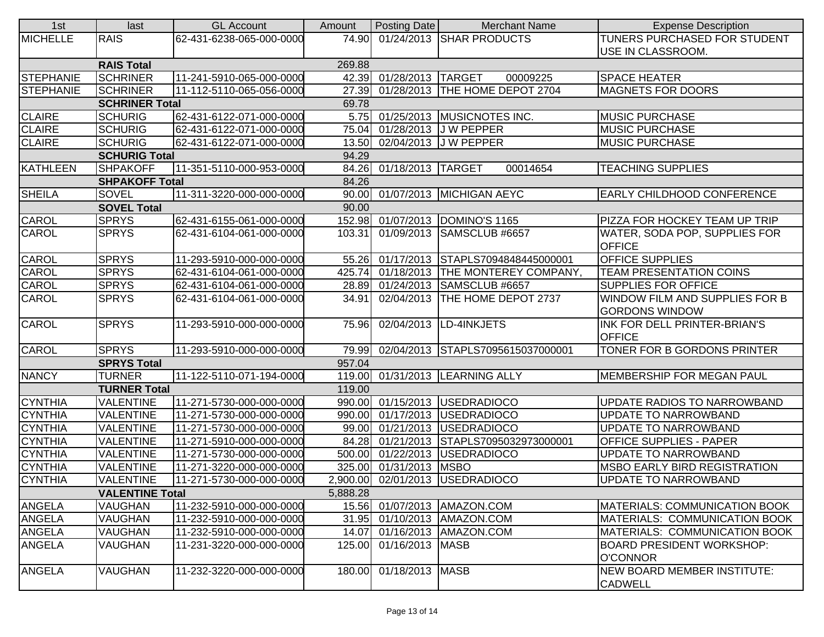| 1st                 | last                   | <b>GL Account</b>        | Amount   | Posting Date            | <b>Merchant Name</b>                 | <b>Expense Description</b>           |
|---------------------|------------------------|--------------------------|----------|-------------------------|--------------------------------------|--------------------------------------|
| <b>MICHELLE</b>     | <b>RAIS</b>            | 62-431-6238-065-000-0000 | 74.90    |                         | 01/24/2013 SHAR PRODUCTS             | TUNERS PURCHASED FOR STUDENT         |
|                     |                        |                          |          |                         |                                      | USE IN CLASSROOM.                    |
|                     | <b>RAIS Total</b>      |                          | 269.88   |                         |                                      |                                      |
| <b>STEPHANIE</b>    | <b>SCHRINER</b>        | 11-241-5910-065-000-0000 |          | 42.39 01/28/2013 TARGET | 00009225                             | <b>SPACE HEATER</b>                  |
| STEPHANIE           | <b>SCHRINER</b>        | 11-112-5110-065-056-0000 |          |                         | 27.39 01/28/2013 THE HOME DEPOT 2704 | <b>MAGNETS FOR DOORS</b>             |
|                     | <b>SCHRINER Total</b>  |                          | 69.78    |                         |                                      |                                      |
| <b>CLAIRE</b>       | <b>SCHURIG</b>         | 62-431-6122-071-000-0000 | 5.75     |                         | 01/25/2013 MUSICNOTES INC.           | MUSIC PURCHASE                       |
| <b>CLAIRE</b>       | <b>SCHURIG</b>         | 62-431-6122-071-000-0000 | 75.04    |                         | 01/28/2013 J W PEPPER                | <b>MUSIC PURCHASE</b>                |
| <b>CLAIRE</b>       | <b>SCHURIG</b>         | 62-431-6122-071-000-0000 |          |                         | 13.50 02/04/2013 J W PEPPER          | <b>MUSIC PURCHASE</b>                |
|                     | <b>SCHURIG Total</b>   |                          | 94.29    |                         |                                      |                                      |
| <b>KATHLEEN</b>     | <b>SHPAKOFF</b>        | 11-351-5110-000-953-0000 |          | 84.26 01/18/2013 TARGET | 00014654                             | <b>TEACHING SUPPLIES</b>             |
|                     | <b>SHPAKOFF Total</b>  |                          | 84.26    |                         |                                      |                                      |
| <b>SHEILA</b>       | SOVEL                  | 11-311-3220-000-000-0000 |          |                         | 90.00 01/07/2013 MICHIGAN AEYC       | <b>EARLY CHILDHOOD CONFERENCE</b>    |
|                     | <b>SOVEL Total</b>     |                          | 90.00    |                         |                                      |                                      |
| CAROL               | <b>SPRYS</b>           | 62-431-6155-061-000-0000 |          |                         | 152.98 01/07/2013 DOMINO'S 1165      | PIZZA FOR HOCKEY TEAM UP TRIP        |
| <b>CAROL</b>        | <b>SPRYS</b>           | 62-431-6104-061-000-0000 | 103.31   |                         | 01/09/2013 SAMSCLUB #6657            | WATER, SODA POP, SUPPLIES FOR        |
|                     |                        |                          |          |                         |                                      | <b>OFFICE</b>                        |
| CAROL               | <b>SPRYS</b>           | 11-293-5910-000-000-0000 | 55.26    |                         | 01/17/2013 STAPLS7094848445000001    | <b>OFFICE SUPPLIES</b>               |
| CAROL               | <b>SPRYS</b>           | 62-431-6104-061-000-0000 | 425.74   |                         | 01/18/2013 THE MONTEREY COMPANY,     | <b>TEAM PRESENTATION COINS</b>       |
| CAROL               | <b>SPRYS</b>           | 62-431-6104-061-000-0000 | 28.89    |                         | 01/24/2013 SAMSCLUB #6657            | <b>SUPPLIES FOR OFFICE</b>           |
| <b>CAROL</b>        | <b>SPRYS</b>           | 62-431-6104-061-000-0000 | 34.91    |                         | 02/04/2013 THE HOME DEPOT 2737       | WINDOW FILM AND SUPPLIES FOR B       |
|                     |                        |                          |          |                         |                                      | <b>GORDONS WINDOW</b>                |
| CAROL               | <b>SPRYS</b>           | 11-293-5910-000-000-0000 | 75.96    |                         | 02/04/2013  LD-4INKJETS              | INK FOR DELL PRINTER-BRIAN'S         |
|                     |                        |                          |          |                         |                                      | <b>OFFICE</b>                        |
| CAROL               | <b>SPRYS</b>           | 11-293-5910-000-000-0000 | 79.99    |                         | 02/04/2013 STAPLS7095615037000001    | TONER FOR B GORDONS PRINTER          |
|                     | <b>SPRYS Total</b>     |                          | 957.04   |                         |                                      |                                      |
| <b>NANCY</b>        | <b>TURNER</b>          | 11-122-5110-071-194-0000 |          |                         | 119.00 01/31/2013 LEARNING ALLY      | MEMBERSHIP FOR MEGAN PAUL            |
| <b>TURNER Total</b> |                        |                          | 119.00   |                         |                                      |                                      |
| <b>CYNTHIA</b>      | <b>VALENTINE</b>       | 11-271-5730-000-000-0000 |          |                         | 990.00 01/15/2013 USEDRADIOCO        | UPDATE RADIOS TO NARROWBAND          |
| <b>CYNTHIA</b>      | <b>VALENTINE</b>       | 11-271-5730-000-000-0000 | 990.00   |                         | 01/17/2013 USEDRADIOCO               | UPDATE TO NARROWBAND                 |
| <b>CYNTHIA</b>      | <b>VALENTINE</b>       | 11-271-5730-000-000-0000 | 99.00    |                         | 01/21/2013 USEDRADIOCO               | UPDATE TO NARROWBAND                 |
| <b>CYNTHIA</b>      | <b>VALENTINE</b>       | 11-271-5910-000-000-0000 | 84.28    |                         | 01/21/2013 STAPLS7095032973000001    | <b>OFFICE SUPPLIES - PAPER</b>       |
| <b>CYNTHIA</b>      | <b>VALENTINE</b>       | 11-271-5730-000-000-0000 | 500.00   |                         | 01/22/2013 USEDRADIOCO               | UPDATE TO NARROWBAND                 |
| <b>CYNTHIA</b>      | <b>VALENTINE</b>       | 11-271-3220-000-000-0000 | 325.00   | 01/31/2013 MSBO         |                                      | <b>MSBO EARLY BIRD REGISTRATION</b>  |
| <b>CYNTHIA</b>      | <b>VALENTINE</b>       | 11-271-5730-000-000-0000 |          |                         | 2,900.00 02/01/2013 USEDRADIOCO      | <b>UPDATE TO NARROWBAND</b>          |
|                     | <b>VALENTINE Total</b> |                          | 5,888.28 |                         |                                      |                                      |
| <b>ANGELA</b>       | <b>VAUGHAN</b>         | 11-232-5910-000-000-0000 | 15.56    |                         | 01/07/2013   AMAZON.COM              | <b>MATERIALS: COMMUNICATION BOOK</b> |
| <b>ANGELA</b>       | <b>VAUGHAN</b>         | 11-232-5910-000-000-0000 | 31.95    |                         | 01/10/2013 AMAZON.COM                | MATERIALS: COMMUNICATION BOOK        |
| <b>ANGELA</b>       | <b>VAUGHAN</b>         | 11-232-5910-000-000-0000 | 14.07    |                         | 01/16/2013   AMAZON.COM              | MATERIALS: COMMUNICATION BOOK        |
| <b>ANGELA</b>       | VAUGHAN                | 11-231-3220-000-000-0000 | 125.00   | 01/16/2013 MASB         |                                      | <b>BOARD PRESIDENT WORKSHOP:</b>     |
|                     |                        |                          |          |                         |                                      | <b>O'CONNOR</b>                      |
| <b>ANGELA</b>       | VAUGHAN                | 11-232-3220-000-000-0000 | 180.00   | 01/18/2013 MASB         |                                      | NEW BOARD MEMBER INSTITUTE:          |
|                     |                        |                          |          |                         |                                      | <b>CADWELL</b>                       |